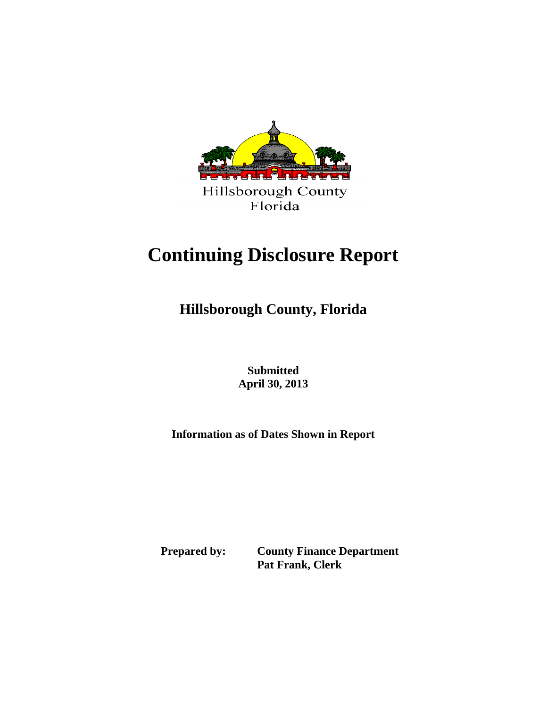

# **Continuing Disclosure Report**

**Hillsborough County, Florida**

 **Submitted April 30, 2013** 

**Information as of Dates Shown in Report**

 **Prepared by: County Finance Department Pat Frank, Clerk**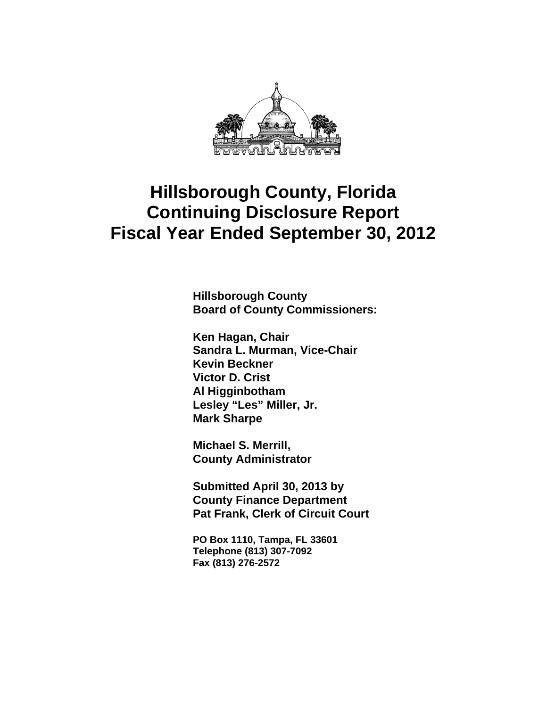

**Hillsborough County Board of County Commissioners:** 

**Ken Hagan, Chair Sandra L. Murman, Vice-Chair Kevin Beckner Victor D. Crist Al Higginbotham Lesley "Les" Miller, Jr. Mark Sharpe** 

**Michael S. Merrill, County Administrator** 

**Submitted April 30, 2013 by County Finance Department Pat Frank, Clerk of Circuit Court** 

**PO Box 1110, Tampa, FL 33601 Telephone (813) 307-7092 Fax (813) 276-2572**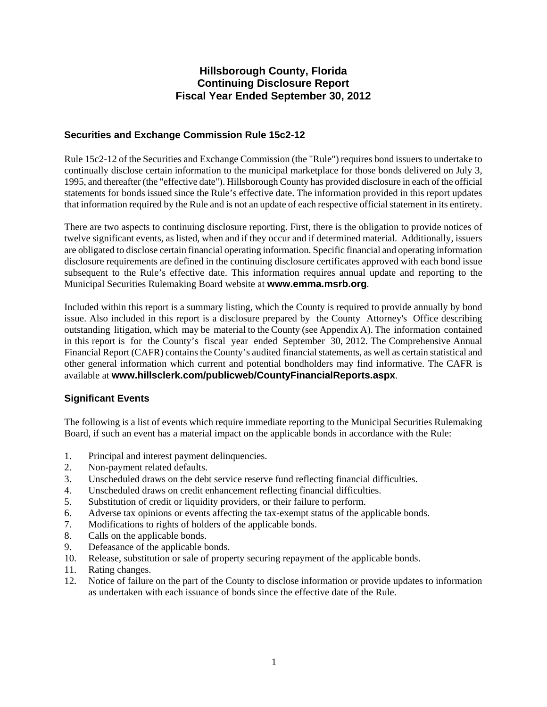### **Securities and Exchange Commission Rule 15c2-12**

Rule 15c2-12 of the Securities and Exchange Commission (the "Rule") requires bond issuers to undertake to continually disclose certain information to the municipal marketplace for those bonds delivered on July 3, 1995, and thereafter (the "effective date"). Hillsborough County has provided disclosure in each of the official statements for bonds issued since the Rule's effective date. The information provided in this report updates that information required by the Rule and is not an update of each respective official statement in its entirety.

There are two aspects to continuing disclosure reporting. First, there is the obligation to provide notices of twelve significant events, as listed, when and if they occur and if determined material. Additionally, issuers are obligated to disclose certain financial operating information. Specific financial and operating information disclosure requirements are defined in the continuing disclosure certificates approved with each bond issue subsequent to the Rule's effective date. This information requires annual update and reporting to the Municipal Securities Rulemaking Board website at **www.emma.msrb.org**.

Included within this report is a summary listing, which the County is required to provide annually by bond issue. Also included in this report is a disclosure prepared by the County Attorney's Office describing outstanding litigation, which may be material to the County (see Appendix A). The information contained in this report is for the County's fiscal year ended September 30, 2012. The Comprehensive Annual Financial Report (CAFR) contains the County's audited financial statements, as well as certain statistical and other general information which current and potential bondholders may find informative. The CAFR is available at **www.hillsclerk.com/publicweb/CountyFinancialReports.aspx**.

### **Significant Events**

The following is a list of events which require immediate reporting to the Municipal Securities Rulemaking Board, if such an event has a material impact on the applicable bonds in accordance with the Rule:

- 1. Principal and interest payment delinquencies.
- 2. Non-payment related defaults.
- 3. Unscheduled draws on the debt service reserve fund reflecting financial difficulties.
- 4. Unscheduled draws on credit enhancement reflecting financial difficulties.
- 5. Substitution of credit or liquidity providers, or their failure to perform.
- 6. Adverse tax opinions or events affecting the tax-exempt status of the applicable bonds.
- 7. Modifications to rights of holders of the applicable bonds.
- 8. Calls on the applicable bonds.
- 9. Defeasance of the applicable bonds.
- 10. Release, substitution or sale of property securing repayment of the applicable bonds.
- 11. Rating changes.
- 12. Notice of failure on the part of the County to disclose information or provide updates to information as undertaken with each issuance of bonds since the effective date of the Rule.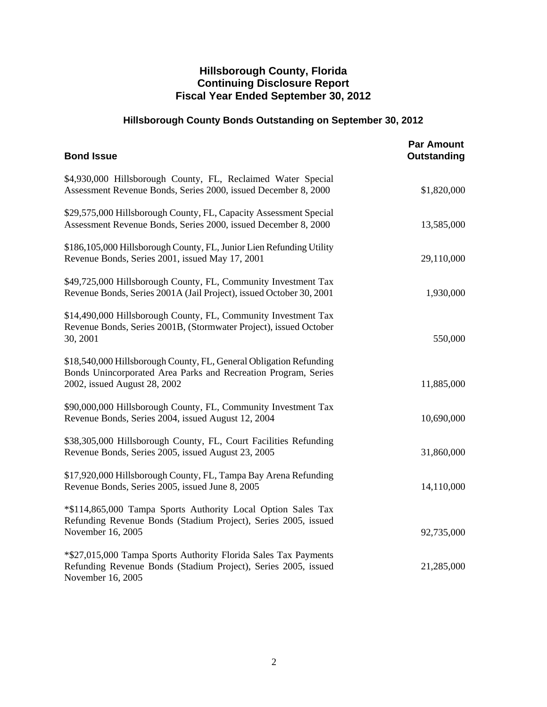# **Hillsborough County Bonds Outstanding on September 30, 2012**

| <b>Bond Issue</b>                                                                                                                                                    | <b>Par Amount</b><br>Outstanding |
|----------------------------------------------------------------------------------------------------------------------------------------------------------------------|----------------------------------|
| \$4,930,000 Hillsborough County, FL, Reclaimed Water Special<br>Assessment Revenue Bonds, Series 2000, issued December 8, 2000                                       | \$1,820,000                      |
| \$29,575,000 Hillsborough County, FL, Capacity Assessment Special<br>Assessment Revenue Bonds, Series 2000, issued December 8, 2000                                  | 13,585,000                       |
| \$186,105,000 Hillsborough County, FL, Junior Lien Refunding Utility<br>Revenue Bonds, Series 2001, issued May 17, 2001                                              | 29,110,000                       |
| \$49,725,000 Hillsborough County, FL, Community Investment Tax<br>Revenue Bonds, Series 2001A (Jail Project), issued October 30, 2001                                | 1,930,000                        |
| \$14,490,000 Hillsborough County, FL, Community Investment Tax<br>Revenue Bonds, Series 2001B, (Stormwater Project), issued October<br>30, 2001                      | 550,000                          |
| \$18,540,000 Hillsborough County, FL, General Obligation Refunding<br>Bonds Unincorporated Area Parks and Recreation Program, Series<br>2002, issued August 28, 2002 | 11,885,000                       |
| \$90,000,000 Hillsborough County, FL, Community Investment Tax<br>Revenue Bonds, Series 2004, issued August 12, 2004                                                 | 10,690,000                       |
| \$38,305,000 Hillsborough County, FL, Court Facilities Refunding<br>Revenue Bonds, Series 2005, issued August 23, 2005                                               | 31,860,000                       |
| \$17,920,000 Hillsborough County, FL, Tampa Bay Arena Refunding<br>Revenue Bonds, Series 2005, issued June 8, 2005                                                   | 14,110,000                       |
| *\$114,865,000 Tampa Sports Authority Local Option Sales Tax<br>Refunding Revenue Bonds (Stadium Project), Series 2005, issued<br>November 16, 2005                  | 92,735,000                       |
| *\$27,015,000 Tampa Sports Authority Florida Sales Tax Payments<br>Refunding Revenue Bonds (Stadium Project), Series 2005, issued<br>November 16, 2005               | 21,285,000                       |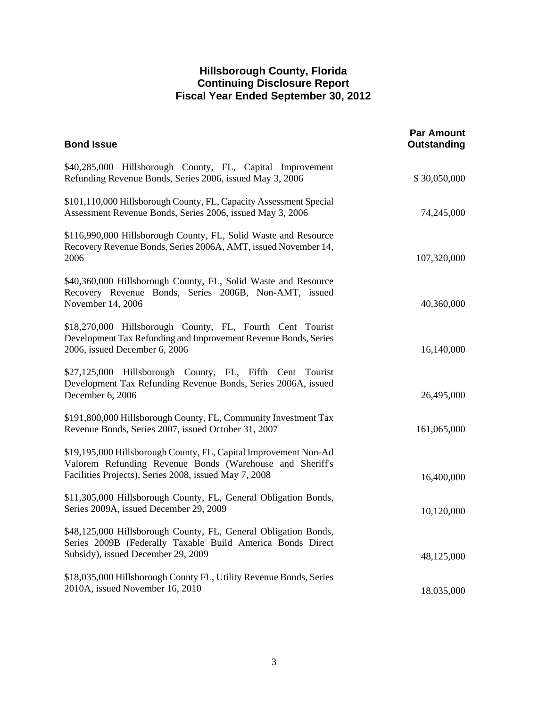| <b>Bond Issue</b>                                                                                                                                                                     | <b>Par Amount</b><br>Outstanding |
|---------------------------------------------------------------------------------------------------------------------------------------------------------------------------------------|----------------------------------|
| \$40,285,000 Hillsborough County, FL, Capital Improvement<br>Refunding Revenue Bonds, Series 2006, issued May 3, 2006                                                                 | \$30,050,000                     |
| \$101,110,000 Hillsborough County, FL, Capacity Assessment Special<br>Assessment Revenue Bonds, Series 2006, issued May 3, 2006                                                       | 74,245,000                       |
| \$116,990,000 Hillsborough County, FL, Solid Waste and Resource<br>Recovery Revenue Bonds, Series 2006A, AMT, issued November 14,<br>2006                                             | 107,320,000                      |
| \$40,360,000 Hillsborough County, FL, Solid Waste and Resource<br>Recovery Revenue Bonds, Series 2006B, Non-AMT, issued<br>November 14, 2006                                          | 40,360,000                       |
| \$18,270,000 Hillsborough County, FL, Fourth Cent Tourist<br>Development Tax Refunding and Improvement Revenue Bonds, Series<br>2006, issued December 6, 2006                         | 16,140,000                       |
| \$27,125,000 Hillsborough County, FL, Fifth Cent Tourist<br>Development Tax Refunding Revenue Bonds, Series 2006A, issued<br>December 6, 2006                                         | 26,495,000                       |
| \$191,800,000 Hillsborough County, FL, Community Investment Tax<br>Revenue Bonds, Series 2007, issued October 31, 2007                                                                | 161,065,000                      |
| \$19,195,000 Hillsborough County, FL, Capital Improvement Non-Ad<br>Valorem Refunding Revenue Bonds (Warehouse and Sheriff's<br>Facilities Projects), Series 2008, issued May 7, 2008 | 16,400,000                       |
| \$11,305,000 Hillsborough County, FL, General Obligation Bonds,<br>Series 2009A, issued December 29, 2009                                                                             | 10,120,000                       |
| \$48,125,000 Hillsborough County, FL, General Obligation Bonds,<br>Series 2009B (Federally Taxable Build America Bonds Direct<br>Subsidy), issued December 29, 2009                   | 48,125,000                       |
| \$18,035,000 Hillsborough County FL, Utility Revenue Bonds, Series<br>2010A, issued November 16, 2010                                                                                 | 18,035,000                       |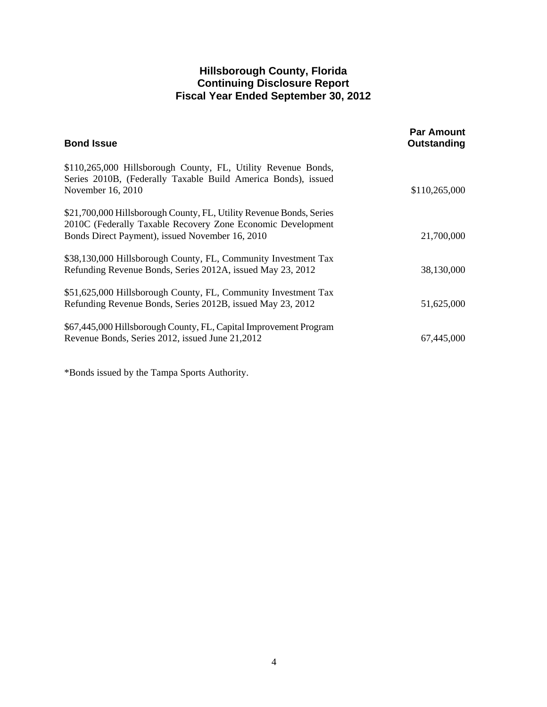| <b>Bond Issue</b>                                                                                                                                                                     | <b>Par Amount</b><br>Outstanding |
|---------------------------------------------------------------------------------------------------------------------------------------------------------------------------------------|----------------------------------|
| \$110,265,000 Hillsborough County, FL, Utility Revenue Bonds,<br>Series 2010B, (Federally Taxable Build America Bonds), issued<br>November 16, 2010                                   | \$110,265,000                    |
| \$21,700,000 Hillsborough County, FL, Utility Revenue Bonds, Series<br>2010C (Federally Taxable Recovery Zone Economic Development<br>Bonds Direct Payment), issued November 16, 2010 | 21,700,000                       |
| \$38,130,000 Hillsborough County, FL, Community Investment Tax<br>Refunding Revenue Bonds, Series 2012A, issued May 23, 2012                                                          | 38,130,000                       |
| \$51,625,000 Hillsborough County, FL, Community Investment Tax<br>Refunding Revenue Bonds, Series 2012B, issued May 23, 2012                                                          | 51,625,000                       |
| \$67,445,000 Hillsborough County, FL, Capital Improvement Program<br>Revenue Bonds, Series 2012, issued June 21, 2012                                                                 | 67,445,000                       |

\*Bonds issued by the Tampa Sports Authority.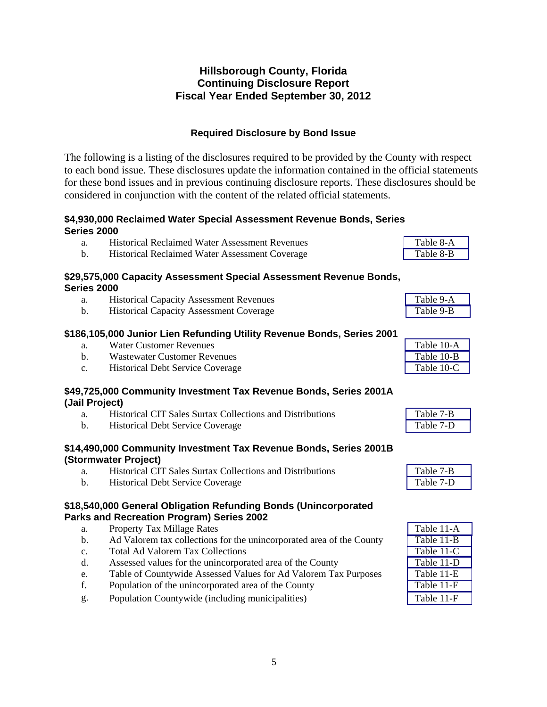### **Required Disclosure by Bond Issue**

The following is a listing of the disclosures required to be provided by the County with respect to each bond issue. These disclosures update the information contained in the official statements for these bond issues and in previous continuing disclosure reports. These disclosures should be considered in conjunction with the content of the related official statements.

### **\$4,930,000 Reclaimed Water Special Assessment Revenue Bonds, Series Series 2000**

| a.                 | <b>Historical Reclaimed Water Assessment Revenues</b>                  | Table 8-A  |
|--------------------|------------------------------------------------------------------------|------------|
| $\mathbf b$ .      | Historical Reclaimed Water Assessment Coverage                         | Table 8-B  |
|                    | \$29,575,000 Capacity Assessment Special Assessment Revenue Bonds,     |            |
| <b>Series 2000</b> |                                                                        |            |
| a.                 | <b>Historical Capacity Assessment Revenues</b>                         | Table 9-A  |
| $\mathbf{b}$ .     | <b>Historical Capacity Assessment Coverage</b>                         | Table 9-B  |
|                    | \$186,105,000 Junior Lien Refunding Utility Revenue Bonds, Series 2001 |            |
| a.                 | <b>Water Customer Revenues</b>                                         | Table 10-A |
| $\mathbf{b}$ .     | <b>Wastewater Customer Revenues</b>                                    | Table 10-B |
| C <sub>1</sub>     | <b>Historical Debt Service Coverage</b>                                | Table 10-C |
|                    | \$49,725,000 Community Investment Tax Revenue Bonds, Series 2001A      |            |
| (Jail Project)     |                                                                        |            |
| a.                 | <b>Historical CIT Sales Surtax Collections and Distributions</b>       | Table 7-B  |
| $\mathbf b$ .      | <b>Historical Debt Service Coverage</b>                                | Table 7-D  |
|                    | \$14,490,000 Community Investment Tax Revenue Bonds, Series 2001B      |            |
|                    | (Stormwater Project)                                                   |            |
| a.                 | Historical CIT Sales Surtax Collections and Distributions              | Table 7-B  |
| $\mathbf b$ .      | <b>Historical Debt Service Coverage</b>                                | Table 7-D  |
|                    | \$18,540,000 General Obligation Refunding Bonds (Unincorporated        |            |
|                    | Parks and Recreation Program) Series 2002                              |            |
| a.                 | <b>Property Tax Millage Rates</b>                                      | Table 11-A |
| $b$ .              | Ad Valorem tax collections for the unincorporated area of the County   | Table 11-B |
| c.                 | <b>Total Ad Valorem Tax Collections</b>                                | Table 11-C |
| d.                 | Assessed values for the unincorporated area of the County              | Table 11-D |
| e.                 | Table of Countywide Assessed Values for Ad Valorem Tax Purposes        | Table 11-E |
| f.                 | Population of the unincorporated area of the County                    | Table 11-F |
| g.                 | Population Countywide (including municipalities)                       | Table 11-F |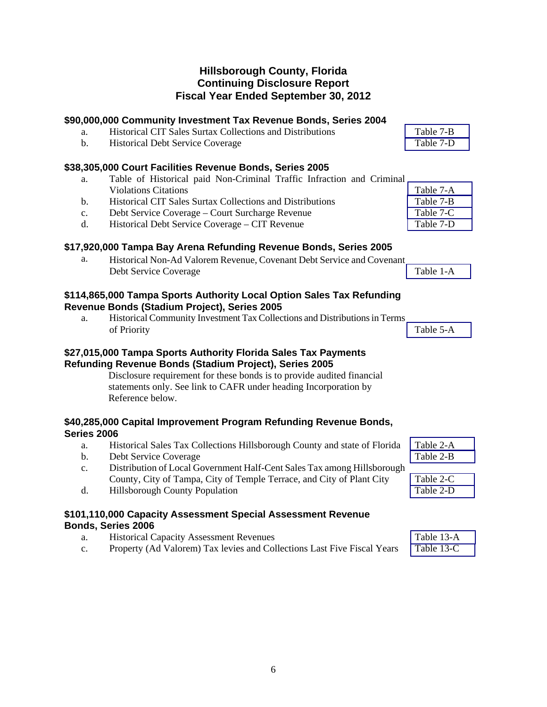|                    | \$90,000,000 Community Investment Tax Revenue Bonds, Series 2004                                                                                                                                                                                                                           |            |
|--------------------|--------------------------------------------------------------------------------------------------------------------------------------------------------------------------------------------------------------------------------------------------------------------------------------------|------------|
| a.                 | Historical CIT Sales Surtax Collections and Distributions                                                                                                                                                                                                                                  | Table 7-B  |
| $\mathbf{b}$ .     | <b>Historical Debt Service Coverage</b>                                                                                                                                                                                                                                                    | Table 7-D  |
|                    | \$38,305,000 Court Facilities Revenue Bonds, Series 2005                                                                                                                                                                                                                                   |            |
| a.                 | Table of Historical paid Non-Criminal Traffic Infraction and Criminal                                                                                                                                                                                                                      |            |
|                    | <b>Violations Citations</b>                                                                                                                                                                                                                                                                | Table 7-A  |
| b.                 | Historical CIT Sales Surtax Collections and Distributions                                                                                                                                                                                                                                  | Table 7-B  |
| $\mathbf{c}$ .     | Debt Service Coverage - Court Surcharge Revenue                                                                                                                                                                                                                                            | Table 7-C  |
| d.                 | Historical Debt Service Coverage - CIT Revenue                                                                                                                                                                                                                                             | Table 7-D  |
|                    | \$17,920,000 Tampa Bay Arena Refunding Revenue Bonds, Series 2005                                                                                                                                                                                                                          |            |
| a.                 | Historical Non-Ad Valorem Revenue, Covenant Debt Service and Covenant                                                                                                                                                                                                                      |            |
|                    | Debt Service Coverage                                                                                                                                                                                                                                                                      | Table 1-A  |
|                    | \$114,865,000 Tampa Sports Authority Local Option Sales Tax Refunding                                                                                                                                                                                                                      |            |
|                    | Revenue Bonds (Stadium Project), Series 2005                                                                                                                                                                                                                                               |            |
| a.                 | Historical Community Investment Tax Collections and Distributions in Terms                                                                                                                                                                                                                 |            |
|                    | of Priority                                                                                                                                                                                                                                                                                | Table 5-A  |
|                    | \$27,015,000 Tampa Sports Authority Florida Sales Tax Payments<br>Refunding Revenue Bonds (Stadium Project), Series 2005<br>Disclosure requirement for these bonds is to provide audited financial<br>statements only. See link to CAFR under heading Incorporation by<br>Reference below. |            |
| <b>Series 2006</b> | \$40,285,000 Capital Improvement Program Refunding Revenue Bonds,                                                                                                                                                                                                                          |            |
| a.                 | Historical Sales Tax Collections Hillsborough County and state of Florida                                                                                                                                                                                                                  | Table 2-A  |
| $\mathbf b$ .      | Debt Service Coverage                                                                                                                                                                                                                                                                      | Table 2-B  |
| $\mathbf{c}$ .     | Distribution of Local Government Half-Cent Sales Tax among Hillsborough                                                                                                                                                                                                                    |            |
|                    | County, City of Tampa, City of Temple Terrace, and City of Plant City                                                                                                                                                                                                                      | Table 2-C  |
| d.                 | Hillsborough County Population                                                                                                                                                                                                                                                             | Table 2-D  |
|                    |                                                                                                                                                                                                                                                                                            |            |
|                    | \$101,110,000 Capacity Assessment Special Assessment Revenue                                                                                                                                                                                                                               |            |
| a.                 | Bonds, Series 2006<br><b>Historical Capacity Assessment Revenues</b>                                                                                                                                                                                                                       | Table 13-A |
|                    |                                                                                                                                                                                                                                                                                            |            |

c. Property (Ad Valorem) Tax levies and Collections Last Five Fiscal Years [Table 13-C](#page-47-0)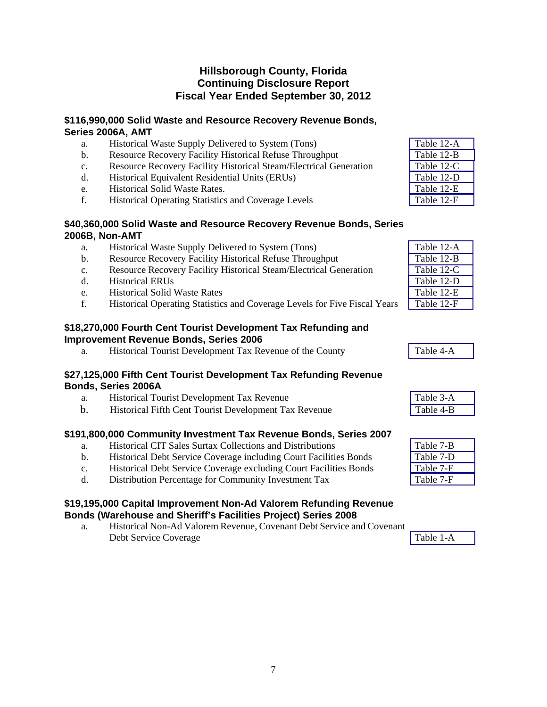# **\$116,990,000 Solid Waste and Resource Recovery Revenue Bonds, Series 2006A, AMT**

| a.             | Historical Waste Supply Delivered to System (Tons)                                                                                                                          | Table 12-A |
|----------------|-----------------------------------------------------------------------------------------------------------------------------------------------------------------------------|------------|
| b.             | <b>Resource Recovery Facility Historical Refuse Throughput</b>                                                                                                              | Table 12-B |
| $\mathbf{c}$ . | Resource Recovery Facility Historical Steam/Electrical Generation                                                                                                           | Table 12-C |
| d.             | Historical Equivalent Residential Units (ERUs)                                                                                                                              | Table 12-D |
| e.             | Historical Solid Waste Rates.                                                                                                                                               | Table 12-E |
| f.             | Historical Operating Statistics and Coverage Levels                                                                                                                         | Table 12-F |
|                | \$40,360,000 Solid Waste and Resource Recovery Revenue Bonds, Series                                                                                                        |            |
|                | 2006B, Non-AMT                                                                                                                                                              |            |
| a.             | Historical Waste Supply Delivered to System (Tons)                                                                                                                          | Table 12-A |
| $\mathbf b$ .  | <b>Resource Recovery Facility Historical Refuse Throughput</b>                                                                                                              | Table 12-B |
| c.             | Resource Recovery Facility Historical Steam/Electrical Generation                                                                                                           | Table 12-C |
| d.             | <b>Historical ERUs</b>                                                                                                                                                      | Table 12-D |
| e.             | <b>Historical Solid Waste Rates</b>                                                                                                                                         | Table 12-E |
| f.             | Historical Operating Statistics and Coverage Levels for Five Fiscal Years                                                                                                   | Table 12-F |
| a.             | \$18,270,000 Fourth Cent Tourist Development Tax Refunding and<br><b>Improvement Revenue Bonds, Series 2006</b><br>Historical Tourist Development Tax Revenue of the County | Table 4-A  |
|                | \$27,125,000 Fifth Cent Tourist Development Tax Refunding Revenue<br><b>Bonds, Series 2006A</b>                                                                             |            |
| a.             | Historical Tourist Development Tax Revenue                                                                                                                                  | Table 3-A  |
| $\mathbf b$ .  | Historical Fifth Cent Tourist Development Tax Revenue                                                                                                                       | Table 4-B  |
|                | \$191,800,000 Community Investment Tax Revenue Bonds, Series 2007                                                                                                           |            |
| a.             | Historical CIT Sales Surtax Collections and Distributions                                                                                                                   | Table 7-B  |
| $\mathbf b$ .  | Historical Debt Service Coverage including Court Facilities Bonds                                                                                                           | Table 7-D  |
| c.             | Historical Debt Service Coverage excluding Court Facilities Bonds                                                                                                           | Table 7-E  |
| d.             | Distribution Percentage for Community Investment Tax                                                                                                                        | Table 7-F  |
|                | \$19,195,000 Capital Improvement Non-Ad Valorem Refunding Revenue                                                                                                           |            |
|                | Bonds (Warehouse and Sheriff's Facilities Project) Series 2008<br><sup>2</sup> I Letonical Non. Ad Valencin Devenue, Covenant Debt Service and Covenant                     |            |
|                |                                                                                                                                                                             |            |

| Historical Non-Ad Valorem Revenue, Covenant Debt Service and Covenant |           |
|-----------------------------------------------------------------------|-----------|
| Debt Service Coverage                                                 | Table 1-A |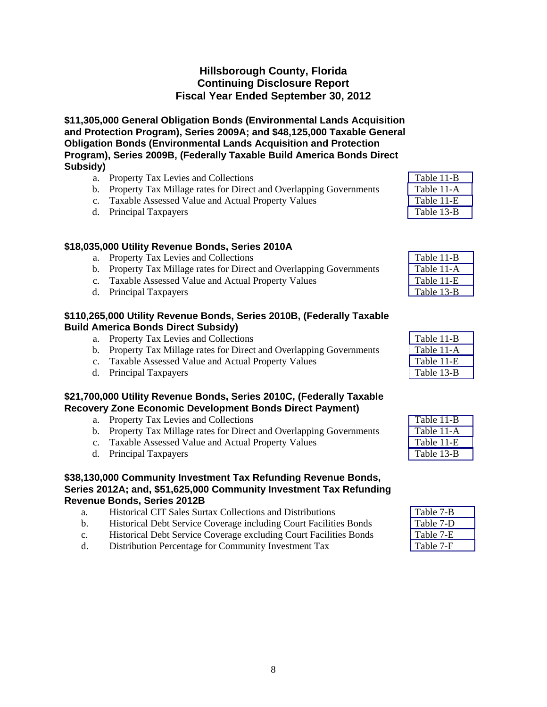**\$11,305,000 General Obligation Bonds (Environmental Lands Acquisition and Protection Program), Series 2009A; and \$48,125,000 Taxable General Obligation Bonds (Environmental Lands Acquisition and Protection Program), Series 2009B, (Federally Taxable Build America Bonds Direct Subsidy)** 

| a. Property Tax Levies and Collections                               | Table 11-B |
|----------------------------------------------------------------------|------------|
| b. Property Tax Millage rates for Direct and Overlapping Governments | Table 11-A |
| c. Taxable Assessed Value and Actual Property Values                 | Table 11-E |
| d. Principal Taxpayers                                               | Table 13-B |

### **\$18,035,000 Utility Revenue Bonds, Series 2010A**

| a. Property Tax Levies and Collections                               | Table 11-B |
|----------------------------------------------------------------------|------------|
| b. Property Tax Millage rates for Direct and Overlapping Governments | Table 11-A |
| c. Taxable Assessed Value and Actual Property Values                 | Table 11-E |
| d. Principal Taxpayers                                               | Table 13-B |

### **\$110,265,000 Utility Revenue Bonds, Series 2010B, (Federally Taxable Build America Bonds Direct Subsidy)**

| a. Property Tax Levies and Collections                               | Table 11-B |
|----------------------------------------------------------------------|------------|
| b. Property Tax Millage rates for Direct and Overlapping Governments | Table 11-A |
| c. Taxable Assessed Value and Actual Property Values                 | Table 11-E |
| d. Principal Taxpayers                                               | Table 13-B |

### **\$21,700,000 Utility Revenue Bonds, Series 2010C, (Federally Taxable Recovery Zone Economic Development Bonds Direct Payment)**

| a. Property Tax Levies and Collections                               | Table 11-B |
|----------------------------------------------------------------------|------------|
| b. Property Tax Millage rates for Direct and Overlapping Governments | Table 11-A |
| c. Taxable Assessed Value and Actual Property Values                 | Table 11-E |
| d. Principal Taxpayers                                               | Table 13-B |

### **\$38,130,000 Community Investment Tax Refunding Revenue Bonds, Series 2012A; and, \$51,625,000 Community Investment Tax Refunding Revenue Bonds, Series 2012B**

| а.          | <b>Historical CIT Sales Surtax Collections and Distributions</b>  | Table 7-B |
|-------------|-------------------------------------------------------------------|-----------|
| b.          | Historical Debt Service Coverage including Court Facilities Bonds | Table 7-D |
| $c_{\cdot}$ | Historical Debt Service Coverage excluding Court Facilities Bonds | Table 7-E |
| d.          | Distribution Percentage for Community Investment Tax              | Table 7-F |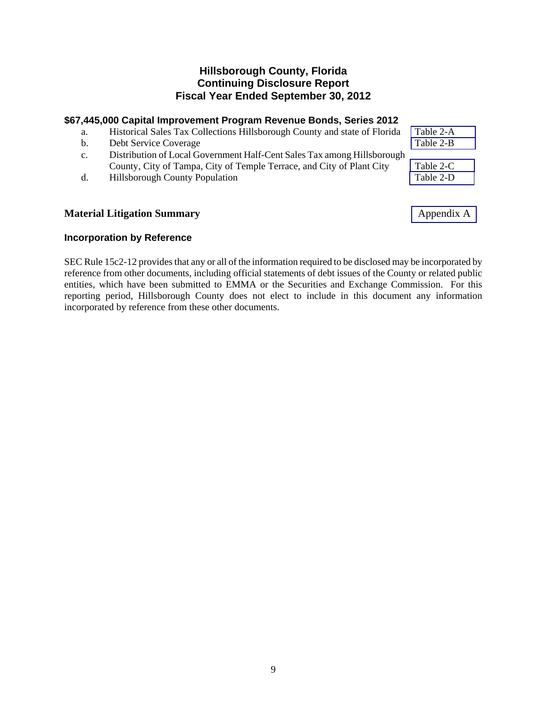### **\$67,445,000 Capital Improvement Program Revenue Bonds, Series 2012**

| a.             | Historical Sales Tax Collections Hillsborough County and state of Florida | Table 2-A |
|----------------|---------------------------------------------------------------------------|-----------|
| b.             | Debt Service Coverage                                                     | Table 2-B |
| $\mathbf{c}$ . | Distribution of Local Government Half-Cent Sales Tax among Hillsborough   |           |
|                | County, City of Tampa, City of Temple Terrace, and City of Plant City     | Table 2-C |
| d.             | <b>Hillsborough County Population</b>                                     | Table 2-D |
|                |                                                                           |           |

## **Material Litigation Summary** Appendix A

### **Incorporation by Reference**

SEC Rule 15c2-12 provides that any or all of the information required to be disclosed may be incorporated by reference from other documents, including official statements of debt issues of the County or related public entities, which have been submitted to EMMA or the Securities and Exchange Commission. For this reporting period, Hillsborough County does not elect to include in this document any information incorporated by reference from these other documents.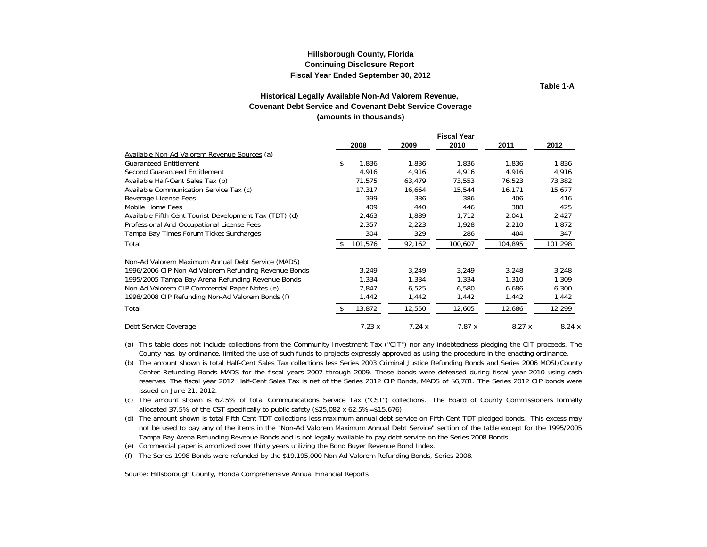#### **Continuing Disclosure Report Fiscal Year Ended September 30, 2012 Hillsborough County, Florida**

**Table 1-A**

#### **Covenant Debt Service and Covenant Debt Service Coverage (amounts in thousands) Historical Legally Available Non-Ad Valorem Revenue,**

<span id="page-11-0"></span>

|                                                        |             |        | <b>Fiscal Year</b> |         |         |
|--------------------------------------------------------|-------------|--------|--------------------|---------|---------|
|                                                        | 2008        | 2009   | 2010               | 2011    | 2012    |
| Available Non-Ad Valorem Revenue Sources (a)           |             |        |                    |         |         |
| <b>Guaranteed Entitlement</b>                          | \$<br>1,836 | 1,836  | 1,836              | 1,836   | 1,836   |
| Second Guaranteed Entitlement                          | 4,916       | 4,916  | 4,916              | 4.916   | 4,916   |
| Available Half-Cent Sales Tax (b)                      | 71,575      | 63,479 | 73,553             | 76,523  | 73,382  |
| Available Communication Service Tax (c)                | 17,317      | 16,664 | 15,544             | 16,171  | 15,677  |
| Beverage License Fees                                  | 399         | 386    | 386                | 406     | 416     |
| Mobile Home Fees                                       | 409         | 440    | 446                | 388     | 425     |
| Available Fifth Cent Tourist Development Tax (TDT) (d) | 2,463       | 1.889  | 1.712              | 2,041   | 2,427   |
| Professional And Occupational License Fees             | 2,357       | 2,223  | 1,928              | 2,210   | 1,872   |
| Tampa Bay Times Forum Ticket Surcharges                | 304         | 329    | 286                | 404     | 347     |
| Total                                                  | 101,576     | 92,162 | 100,607            | 104,895 | 101,298 |
| Non-Ad Valorem Maximum Annual Debt Service (MADS)      |             |        |                    |         |         |
| 1996/2006 CIP Non Ad Valorem Refunding Revenue Bonds   | 3,249       | 3,249  | 3,249              | 3,248   | 3,248   |
| 1995/2005 Tampa Bay Arena Refunding Revenue Bonds      | 1,334       | 1,334  | 1,334              | 1,310   | 1,309   |
| Non-Ad Valorem CIP Commercial Paper Notes (e)          | 7,847       | 6,525  | 6,580              | 6,686   | 6,300   |
| 1998/2008 CIP Refunding Non-Ad Valorem Bonds (f)       | 1,442       | 1,442  | 1,442              | 1,442   | 1,442   |
| Total                                                  | 13,872      | 12,550 | 12,605             | 12,686  | 12,299  |
| Debt Service Coverage                                  | 7.23x       | 7.24x  | 7.87x              | 8.27x   | 8.24x   |

(a) This table does not include collections from the Community Investment Tax ("CIT") nor any indebtedness pledging the CIT proceeds. The County has, by ordinance, limited the use of such funds to projects expressly approved as using the procedure in the enacting ordinance.

(b) The amount shown is total Half-Cent Sales Tax collections less Series 2003 Criminal Justice Refunding Bonds and Series 2006 MOSI/County Center Refunding Bonds MADS for the fiscal years 2007 through 2009. Those bonds were defeased during fiscal year 2010 using cash reserves. The fiscal year 2012 Half-Cent Sales Tax is net of the Series 2012 CIP Bonds, MADS of \$6,781. The Series 2012 CIP bonds were issued on June 21, 2012.

(c) The amount shown is 62.5% of total Communications Service Tax ("CST") collections. The Board of County Commissioners formally allocated 37.5% of the CST specifically to public safety (\$25,082 x 62.5%=\$15,676).

(d) The amount shown is total Fifth Cent TDT collections less maximum annual debt service on Fifth Cent TDT pledged bonds. This excess may not be used to pay any of the items in the "Non-Ad Valorem Maximum Annual Debt Service" section of the table except for the 1995/2005 Tampa Bay Arena Refunding Revenue Bonds and is not legally available to pay debt service on the Series 2008 Bonds.

(e) Commercial paper is amortized over thirty years utilizing the Bond Buyer Revenue Bond Index.

(f) The Series 1998 Bonds were refunded by the \$19,195,000 Non-Ad Valorem Refunding Bonds, Series 2008.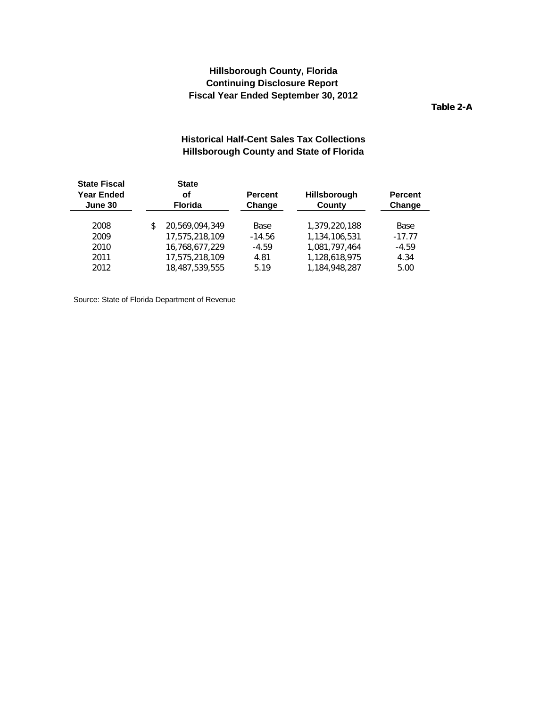**Table 2-A**

### **Historical Half-Cent Sales Tax Collections Hillsborough County and State of Florida**

<span id="page-12-0"></span>

| <b>State Fiscal</b><br><b>Year Ended</b><br>οf<br><b>Florida</b><br>June 30 |                | <b>Percent</b><br>Change                         | <b>Hillsborough</b><br>County | <b>Percent</b><br>Change |
|-----------------------------------------------------------------------------|----------------|--------------------------------------------------|-------------------------------|--------------------------|
|                                                                             |                |                                                  |                               |                          |
|                                                                             |                |                                                  |                               | Base                     |
|                                                                             |                | $-14.56$                                         | 1.134.106.531                 | $-17.77$                 |
|                                                                             | 16,768,677,229 | $-4.59$                                          | 1.081.797.464                 | $-4.59$                  |
|                                                                             | 17.575.218.109 | 4.81                                             | 1.128.618.975                 | 4.34                     |
|                                                                             | 18,487,539,555 | 5.19                                             | 1.184.948.287                 | 5.00                     |
|                                                                             |                | <b>State</b><br>20.569.094.349<br>17,575,218,109 | Base                          | 1,379,220,188            |

Source: State of Florida Department of Revenue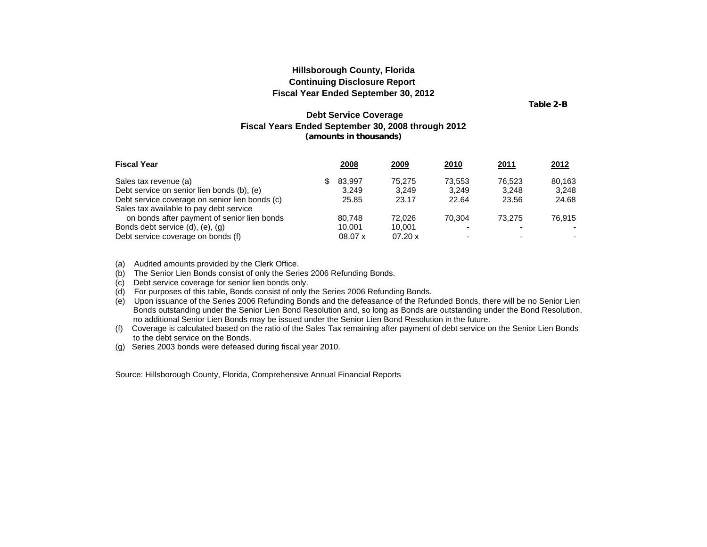**Table 2-B**

#### **Debt Service Coverage Fiscal Years Ended September 30, 2008 through 2012 (amounts in thousands)**

<span id="page-13-0"></span>

| <b>Fiscal Year</b>                             | 2008    | 2009    | <u>2010</u> | <u>2011</u> | 2012   |
|------------------------------------------------|---------|---------|-------------|-------------|--------|
| Sales tax revenue (a)                          | 83.997  | 75.275  | 73.553      | 76.523      | 80.163 |
| Debt service on senior lien bonds (b), (e)     | 3.249   | 3.249   | 3.249       | 3.248       | 3.248  |
| Debt service coverage on senior lien bonds (c) | 25.85   | 23.17   | 22.64       | 23.56       | 24.68  |
| Sales tax available to pay debt service        |         |         |             |             |        |
| on bonds after payment of senior lien bonds    | 80.748  | 72.026  | 70.304      | 73.275      | 76.915 |
| Bonds debt service (d), (e), (g)               | 10.001  | 10.001  |             |             |        |
| Debt service coverage on bonds (f)             | 08.07 x | 07.20 x |             |             |        |

(a) Audited amounts provided by the Clerk Office.

(b) The Senior Lien Bonds consist of only the Series 2006 Refunding Bonds.

(c) Debt service coverage for senior lien bonds only.

(d) For purposes of this table, Bonds consist of only the Series 2006 Refunding Bonds.

(e) Upon issuance of the Series 2006 Refunding Bonds and the defeasance of the Refunded Bonds, there will be no Senior Lien Bonds outstanding under the Senior Lien Bond Resolution and, so long as Bonds are outstanding under the Bond Resolution, no additional Senior Lien Bonds may be issued under the Senior Lien Bond Resolution in the future.

(f) Coverage is calculated based on the ratio of the Sales Tax remaining after payment of debt service on the Senior Lien Bonds to the debt service on the Bonds.

(g) Series 2003 bonds were defeased during fiscal year 2010.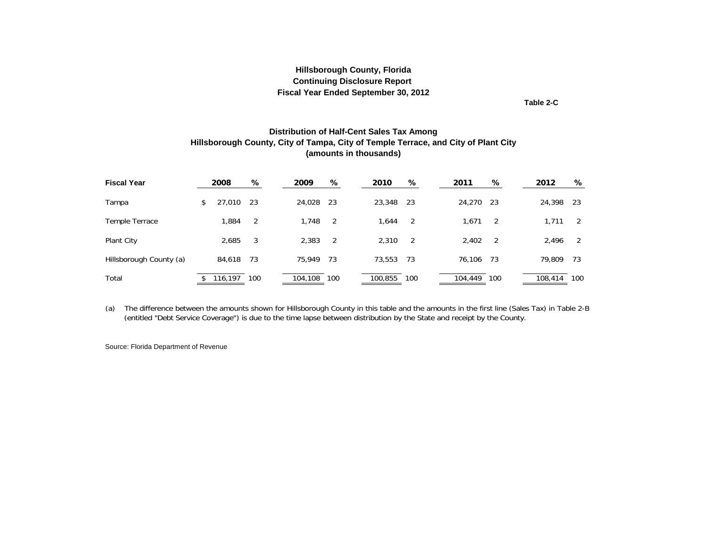**Table 2-C**

#### **Distribution of Half-Cent Sales Tax Among Hillsborough County, City of Tampa, City of Temple Terrace, and City of Plant City (amounts in thousands)**

<span id="page-14-0"></span>

| <b>Fiscal Year</b>      | 2008         | %   | 2009        | %              | 2010    | %   | 2011        | %   | 2012    | %    |
|-------------------------|--------------|-----|-------------|----------------|---------|-----|-------------|-----|---------|------|
| Tampa                   | \$<br>27,010 | -23 | 24,028      | -23            | 23,348  | -23 | 24,270      | -23 | 24,398  | - 23 |
| Temple Terrace          | 1,884        | -2  | 1,748       | -2             | 1.644   | -2  | 1,671       | - 2 | 1.711   | 2    |
| Plant City              | 2,685        | 3   | 2,383       | $\overline{2}$ | 2.310   | -2  | 2,402       | -2  | 2,496   | 2    |
| Hillsborough County (a) | 84,618       | 73  | 75,949      | 73             | 73,553  | 73  | 76,106      | 73  | 79,809  | 73   |
| Total                   | 116,197      | 100 | 104,108 100 |                | 100,855 | 100 | 104,449 100 |     | 108,414 | 100  |

(a) The difference between the amounts shown for Hillsborough County in this table and the amounts in the first line (Sales Tax) in Table 2-B (entitled "Debt Service Coverage") is due to the time lapse between distribution by the State and receipt by the County.

Source: Florida Department of Revenue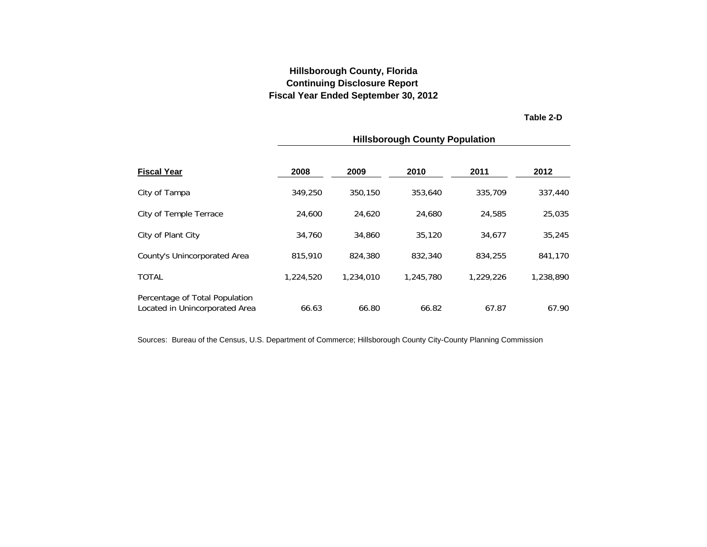**Table 2-D**

<span id="page-15-0"></span>

|                                                                  |           |           | <b>Hillsborough County Population</b> |           |           |
|------------------------------------------------------------------|-----------|-----------|---------------------------------------|-----------|-----------|
| <b>Fiscal Year</b>                                               | 2008      | 2009      | 2010                                  | 2011      | 2012      |
| City of Tampa                                                    | 349.250   | 350.150   | 353,640                               | 335,709   | 337,440   |
| City of Temple Terrace                                           | 24,600    | 24,620    | 24,680                                | 24,585    | 25,035    |
| City of Plant City                                               | 34,760    | 34,860    | 35,120                                | 34,677    | 35,245    |
| County's Unincorporated Area                                     | 815,910   | 824,380   | 832,340                               | 834,255   | 841,170   |
| <b>TOTAL</b>                                                     | 1,224,520 | 1,234,010 | 1,245,780                             | 1,229,226 | 1,238,890 |
| Percentage of Total Population<br>Located in Unincorporated Area | 66.63     | 66.80     | 66.82                                 | 67.87     | 67.90     |

Sources: Bureau of the Census, U.S. Department of Commerce; Hillsborough County City-County Planning Commission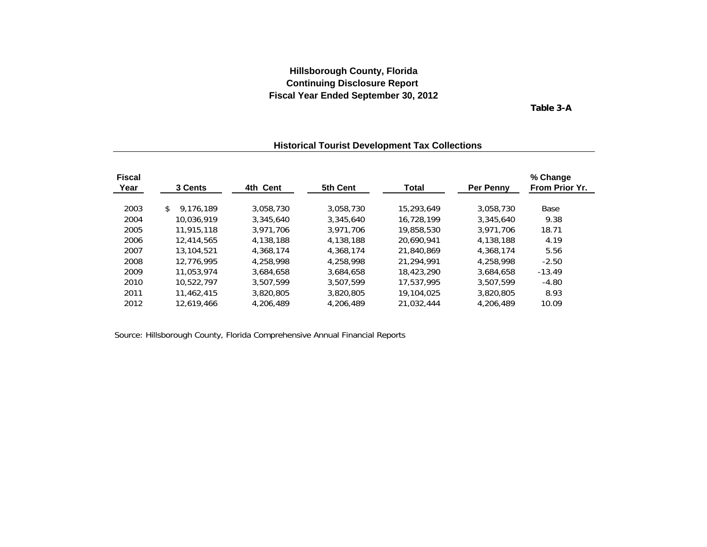**Table 3-A**

# <span id="page-16-0"></span>**Fiscal % Change Year 3 Cents 4th Cent 5th Cent Total Per Penny From Prior Yr.** 2003 9,176,189 \$ 3,058,730 3,058,730 15,293,649 3,058,730 Base 2004 10,036,919 3,345,640 3,345,640 16,728,199 3,345,640 9.38 2005 11,915,118 3,971,706 3,971,706 19,858,530 3,971,706 18.71 2006 12,414,565 4,138,188 4,138,188 20,690,941 4,138,188 4.19 2007 13,104,521 4,368,174 4,368,174 21,840,869 4,368,174 5.56 2008 12,776,995 4,258,998 4,258,998 21,294,991 4,258,998 -2.50 2009 11,053,974 3,684,658 3,684,658 18,423,290 3,684,658 -13.49 2010 10,522,797 3,507,599 3,507,599 17,537,995 3,507,599 -4.80 2011 11,462,415 3,820,805 3,820,805 19,104,025 3,820,805 8.93 2012 12,619,466 4,206,489 4,206,489 21,032,444 4,206,489 10.09

### **Historical Tourist Development Tax Collections**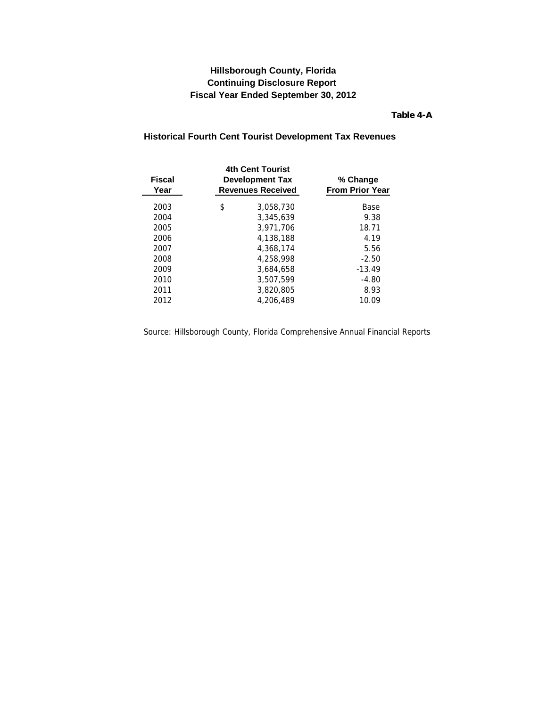**Table 4-A**

### <span id="page-17-0"></span>**Historical Fourth Cent Tourist Development Tax Revenues**

| <b>Fiscal</b><br>Year | <b>4th Cent Tourist</b><br><b>Development Tax</b><br><b>Revenues Received</b> | % Change<br><b>From Prior Year</b> |
|-----------------------|-------------------------------------------------------------------------------|------------------------------------|
| 2003                  | \$<br>3.058.730                                                               | Base                               |
| 2004                  | 3.345.639                                                                     | 9.38                               |
| 2005                  | 3.971.706                                                                     | 18.71                              |
| 2006                  | 4,138,188                                                                     | 4.19                               |
| 2007                  | 4,368,174                                                                     | 5.56                               |
| 2008                  | 4,258,998                                                                     | $-2.50$                            |
| 2009                  | 3,684,658                                                                     | $-13.49$                           |
| 2010                  | 3.507.599                                                                     | $-4.80$                            |
| 2011                  | 3.820.805                                                                     | 8.93                               |
| 2012                  | 4,206,489                                                                     | 10.09                              |
|                       |                                                                               |                                    |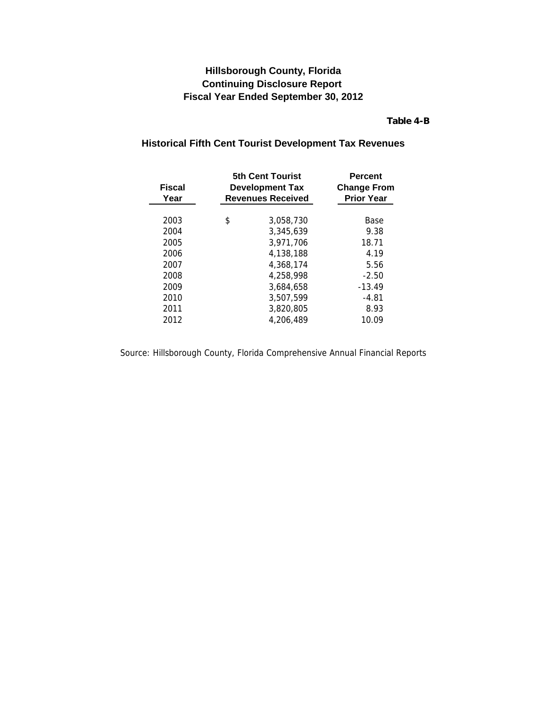### **Table 4-B**

### <span id="page-18-0"></span>**Historical Fifth Cent Tourist Development Tax Revenues**

| <b>Fiscal</b><br>Year | <b>5th Cent Tourist</b><br><b>Development Tax</b><br><b>Revenues Received</b> | <b>Percent</b><br><b>Change From</b><br><b>Prior Year</b> |
|-----------------------|-------------------------------------------------------------------------------|-----------------------------------------------------------|
| 2003                  | \$<br>3,058,730                                                               | Base                                                      |
| 2004                  | 3.345.639                                                                     | 9.38                                                      |
| 2005                  | 3.971.706                                                                     | 18.71                                                     |
| 2006                  | 4.138.188                                                                     | 4.19                                                      |
| 2007                  | 4.368.174                                                                     | 5.56                                                      |
| 2008                  | 4.258.998                                                                     | $-2.50$                                                   |
| 2009                  | 3.684.658                                                                     | $-13.49$                                                  |
| 2010                  | 3.507.599                                                                     | $-4.81$                                                   |
| 2011                  | 3.820.805                                                                     | 8.93                                                      |
| 2012                  | 4,206,489                                                                     | 10.09                                                     |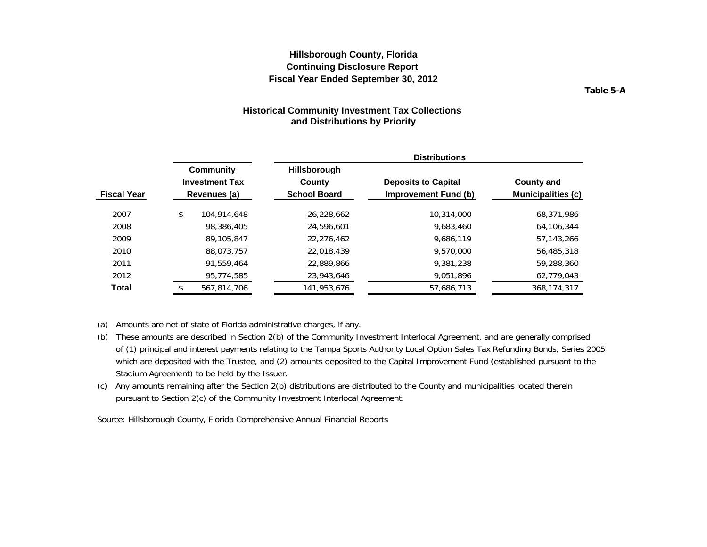**Table 5-A**

#### **Historical Community Investment Tax Collections and Distributions by Priority**

<span id="page-19-0"></span>

|                    |                                                    |             |                                                      | <b>Distributions</b>                               |                                         |  |
|--------------------|----------------------------------------------------|-------------|------------------------------------------------------|----------------------------------------------------|-----------------------------------------|--|
| <b>Fiscal Year</b> | Community<br><b>Investment Tax</b><br>Revenues (a) |             | <b>Hillsborough</b><br>County<br><b>School Board</b> | <b>Deposits to Capital</b><br>Improvement Fund (b) | <b>County and</b><br>Municipalities (c) |  |
| 2007               | \$                                                 | 104.914.648 | 26,228,662                                           | 10,314,000                                         | 68,371,986                              |  |
| 2008               |                                                    | 98,386,405  | 24,596,601                                           | 9.683.460                                          | 64.106.344                              |  |
| 2009               |                                                    | 89,105,847  | 22.276.462                                           | 9.686.119                                          | 57.143.266                              |  |
| 2010               |                                                    | 88.073.757  | 22,018,439                                           | 9,570,000                                          | 56,485,318                              |  |
| 2011               |                                                    | 91.559.464  | 22,889,866                                           | 9,381,238                                          | 59,288,360                              |  |
| 2012               |                                                    | 95,774,585  | 23,943,646                                           | 9,051,896                                          | 62,779,043                              |  |
| Total              |                                                    | 567,814,706 | 141,953,676                                          | 57,686,713                                         | 368, 174, 317                           |  |

(a) Amounts are net of state of Florida administrative charges, if any.

- (b) These amounts are described in Section 2(b) of the Community Investment Interlocal Agreement, and are generally comprised of (1) principal and interest payments relating to the Tampa Sports Authority Local Option Sales Tax Refunding Bonds, Series 2005 which are deposited with the Trustee, and (2) amounts deposited to the Capital Improvement Fund (established pursuant to the Stadium Agreement) to be held by the Issuer.
- (c) Any amounts remaining after the Section 2(b) distributions are distributed to the County and municipalities located therein pursuant to Section 2(c) of the Community Investment Interlocal Agreement.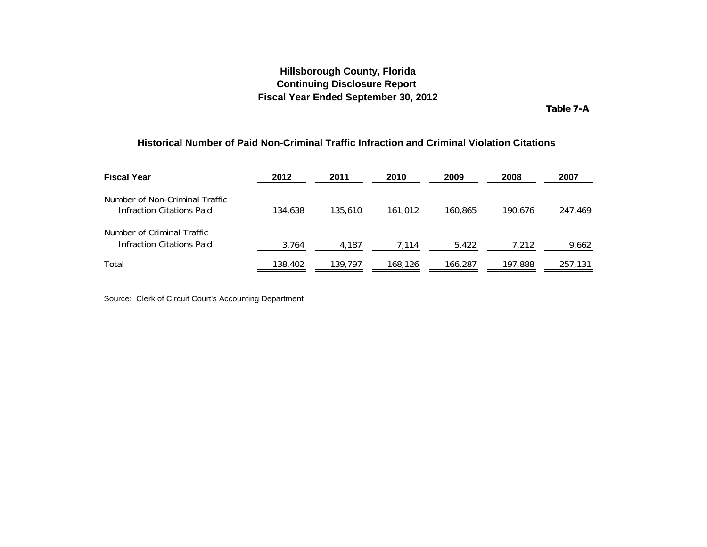**Table 7-A**

#### <span id="page-20-0"></span>**Historical Number of Paid Non-Criminal Traffic Infraction and Criminal Violation Citations**

| <b>Fiscal Year</b>                                             | 2012    | 2011    | 2010    | 2009    | 2008    | 2007    |
|----------------------------------------------------------------|---------|---------|---------|---------|---------|---------|
| Number of Non-Criminal Traffic<br>Infraction Citations Paid    | 134,638 | 135,610 | 161.012 | 160.865 | 190.676 | 247,469 |
| Number of Criminal Traffic<br><b>Infraction Citations Paid</b> | 3,764   | 4,187   | 7,114   | 5,422   | 7,212   | 9,662   |
| Total                                                          | 138,402 | 139,797 | 168,126 | 166,287 | 197,888 | 257,131 |

Source: Clerk of Circuit Court's Accounting Department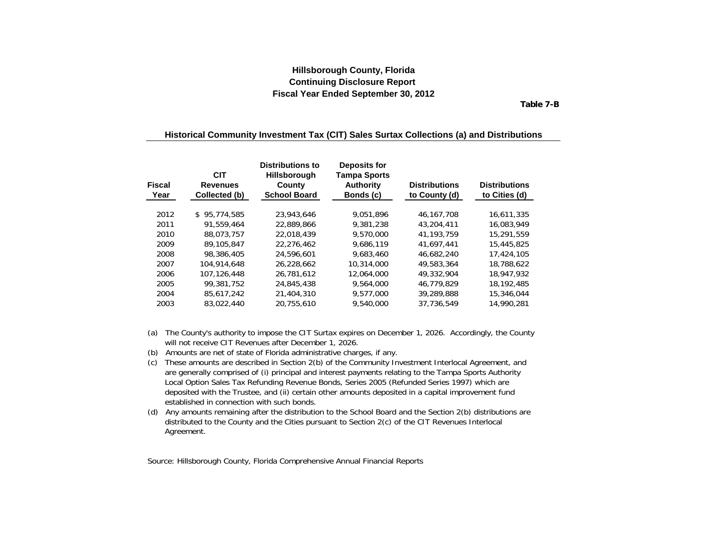**Table 7-B**

#### <span id="page-21-0"></span>**Historical Community Investment Tax (CIT) Sales Surtax Collections (a) and Distributions**

| <b>Fiscal</b><br>Year | <b>CIT</b><br><b>Revenues</b><br>Collected (b) | <b>Distributions to</b><br><b>Hillsborough</b><br>County<br><b>School Board</b> | <b>Deposits for</b><br><b>Tampa Sports</b><br><b>Authority</b><br>Bonds (c) | <b>Distributions</b><br>to County (d) | <b>Distributions</b><br>to Cities (d) |
|-----------------------|------------------------------------------------|---------------------------------------------------------------------------------|-----------------------------------------------------------------------------|---------------------------------------|---------------------------------------|
| 2012                  | \$95.774.585                                   | 23.943.646                                                                      | 9.051.896                                                                   | 46.167.708                            | 16.611.335                            |
| 2011                  | 91.559.464                                     | 22.889.866                                                                      | 9.381.238                                                                   | 43,204,411                            | 16.083.949                            |
| 2010                  | 88.073.757                                     | 22.018.439                                                                      | 9,570,000                                                                   | 41, 193, 759                          | 15,291,559                            |
| 2009                  | 89,105,847                                     | 22,276,462                                                                      | 9.686.119                                                                   | 41.697.441                            | 15,445,825                            |
| 2008                  | 98,386,405                                     | 24,596,601                                                                      | 9.683.460                                                                   | 46.682.240                            | 17,424,105                            |
| 2007                  | 104.914.648                                    | 26,228,662                                                                      | 10,314,000                                                                  | 49,583,364                            | 18.788.622                            |
| 2006                  | 107.126.448                                    | 26.781.612                                                                      | 12.064.000                                                                  | 49,332,904                            | 18,947,932                            |
| 2005                  | 99.381.752                                     | 24,845,438                                                                      | 9,564,000                                                                   | 46.779.829                            | 18,192,485                            |
| 2004                  | 85,617,242                                     | 21,404,310                                                                      | 9,577,000                                                                   | 39,289,888                            | 15,346,044                            |
| 2003                  | 83.022.440                                     | 20.755.610                                                                      | 9,540,000                                                                   | 37.736.549                            | 14,990,281                            |

- (a) The County's authority to impose the CIT Surtax expires on December 1, 2026. Accordingly, the County will not receive CIT Revenues after December 1, 2026.
- (b) Amounts are net of state of Florida administrative charges, if any.
- (c) These amounts are described in Section 2(b) of the Community Investment Interlocal Agreement, and are generally comprised of (i) principal and interest payments relating to the Tampa Sports Authority Local Option Sales Tax Refunding Revenue Bonds, Series 2005 (Refunded Series 1997) which are deposited with the Trustee, and (ii) certain other amounts deposited in a capital improvement fund established in connection with such bonds.
- (d) Any amounts remaining after the distribution to the School Board and the Section 2(b) distributions are distributed to the County and the Cities pursuant to Section 2(c) of the CIT Revenues Interlocal Agreement.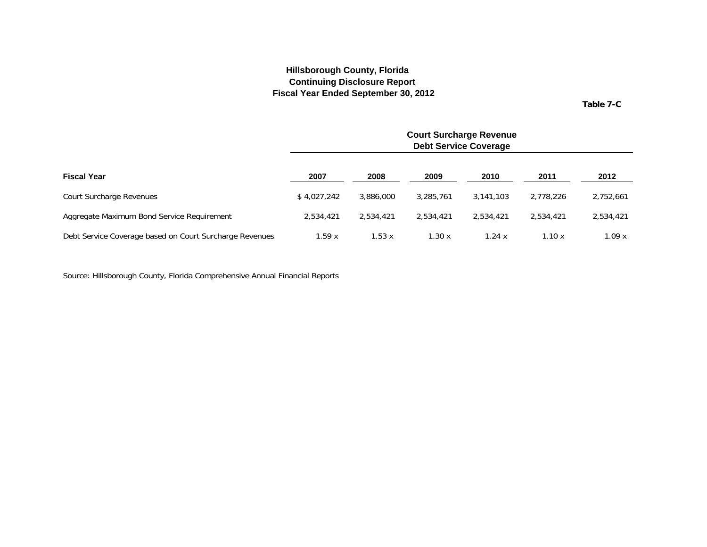**Table 7-C**

<span id="page-22-0"></span>

|                                                         |             |           |           | <b>Court Surcharge Revenue</b><br><b>Debt Service Coverage</b> |           |           |  |  |  |
|---------------------------------------------------------|-------------|-----------|-----------|----------------------------------------------------------------|-----------|-----------|--|--|--|
| <b>Fiscal Year</b>                                      | 2007        | 2008      | 2009      | 2010                                                           | 2011      | 2012      |  |  |  |
| Court Surcharge Revenues                                | \$4.027.242 | 3,886,000 | 3.285.761 | 3.141.103                                                      | 2.778.226 | 2,752,661 |  |  |  |
| Aggregate Maximum Bond Service Requirement              | 2,534,421   | 2,534,421 | 2,534,421 | 2.534.421                                                      | 2,534,421 | 2,534,421 |  |  |  |
| Debt Service Coverage based on Court Surcharge Revenues | 1.59 x      | 1.53x     | 1.30x     | 1.24x                                                          | 1.10x     | 1.09x     |  |  |  |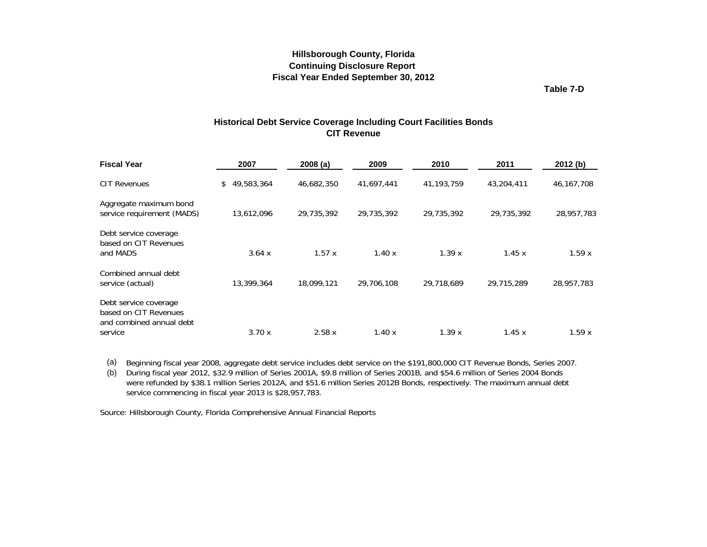**Table 7-D**

#### **Historical Debt Service Coverage Including Court Facilities Bonds CIT Revenue**

<span id="page-23-0"></span>

| <b>Fiscal Year</b>                                                         | 2007              | 2008(a)    | 2009       | 2010         | 2011       | 2012(b)      |
|----------------------------------------------------------------------------|-------------------|------------|------------|--------------|------------|--------------|
| <b>CIT Revenues</b>                                                        | 49,583,364<br>\$. | 46,682,350 | 41,697,441 | 41, 193, 759 | 43,204,411 | 46, 167, 708 |
| Aggregate maximum bond<br>service requirement (MADS)                       | 13,612,096        | 29,735,392 | 29,735,392 | 29,735,392   | 29,735,392 | 28,957,783   |
| Debt service coverage<br>based on CIT Revenues<br>and MADS                 | 3.64x             | 1.57x      | 1.40x      | 1.39x        | 1.45x      | 1.59x        |
| Combined annual debt<br>service (actual)                                   | 13,399,364        | 18,099,121 | 29,706,108 | 29,718,689   | 29,715,289 | 28,957,783   |
| Debt service coverage<br>based on CIT Revenues<br>and combined annual debt |                   |            |            |              |            |              |
| service                                                                    | 3.70x             | 2.58x      | 1.40x      | 1.39x        | 1.45x      | 1.59x        |

(a) Beginning fiscal year 2008, aggregate debt service includes debt service on the \$191,800,000 CIT Revenue Bonds, Series 2007.

(b) During fiscal year 2012, \$32.9 million of Series 2001A, \$9.8 million of Series 2001B, and \$54.6 million of Series 2004 Bonds were refunded by \$38.1 million Series 2012A, and \$51.6 million Series 2012B Bonds, respectively. The maximum annual debt service commencing in fiscal year 2013 is \$28,957,783.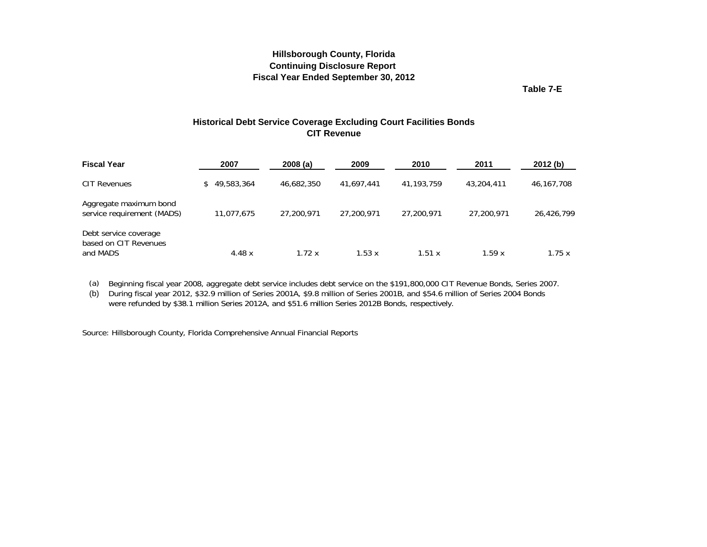**Table 7-E**

### **Historical Debt Service Coverage Excluding Court Facilities Bonds CIT Revenue**

<span id="page-24-0"></span>

| <b>Fiscal Year</b>                                         | 2007         | 2008(a)    | 2009       | 2010         | 2011       | 2012(b)    |
|------------------------------------------------------------|--------------|------------|------------|--------------|------------|------------|
| CIT Revenues                                               | \$49,583,364 | 46,682,350 | 41.697.441 | 41, 193, 759 | 43,204,411 | 46,167,708 |
| Aggregate maximum bond<br>service requirement (MADS)       | 11.077.675   | 27,200,971 | 27,200,971 | 27,200,971   | 27,200,971 | 26,426,799 |
| Debt service coverage<br>based on CIT Revenues<br>and MADS | 4.48 $x$     | 1.72x      | 1.53x      | 1.51 x       | 1.59x      | 1.75x      |

(a) Beginning fiscal year 2008, aggregate debt service includes debt service on the \$191,800,000 CIT Revenue Bonds, Series 2007.

(b) During fiscal year 2012, \$32.9 million of Series 2001A, \$9.8 million of Series 2001B, and \$54.6 million of Series 2004 Bonds were refunded by \$38.1 million Series 2012A, and \$51.6 million Series 2012B Bonds, respectively.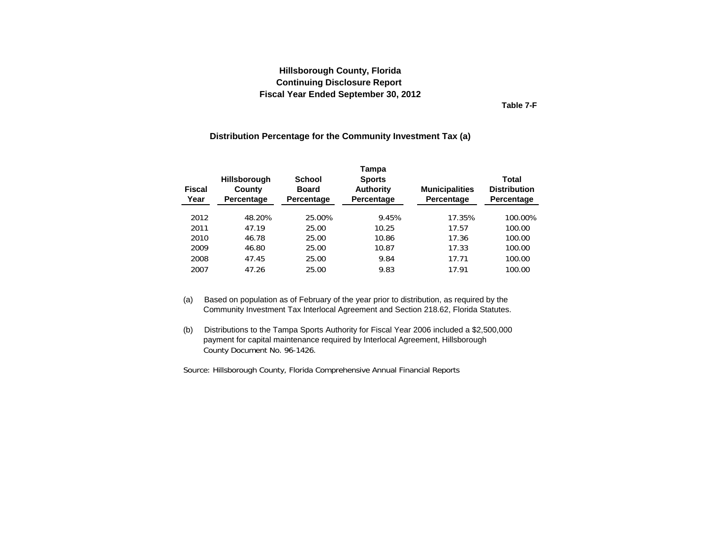**Table 7-F**

#### **Distribution Percentage for the Community Investment Tax (a)**

<span id="page-25-0"></span>

| <b>Fiscal</b><br>Year | School<br><b>Hillsborough</b><br><b>Board</b><br>County<br>Percentage<br>Percentage |        | Tampa<br><b>Sports</b><br><b>Authority</b><br>Percentage | <b>Municipalities</b><br>Percentage | Total<br><b>Distribution</b><br>Percentage |
|-----------------------|-------------------------------------------------------------------------------------|--------|----------------------------------------------------------|-------------------------------------|--------------------------------------------|
| 2012                  | 48.20%                                                                              | 25.00% | 9.45%                                                    | 17.35%                              | 100.00%                                    |
| 2011                  | 47.19                                                                               | 25.00  | 10.25                                                    | 17.57                               | 100.00                                     |
| 2010                  | 46.78                                                                               | 25.00  | 10.86                                                    | 17.36                               | 100.00                                     |
| 2009                  | 46.80                                                                               | 25.00  | 10.87                                                    | 17.33                               | 100.00                                     |
| 2008                  | 47.45                                                                               | 25.00  | 9.84                                                     | 17.71                               | 100.00                                     |
| 2007                  | 47.26                                                                               | 25.00  | 9.83                                                     | 17.91                               | 100.00                                     |

- (a) Based on population as of February of the year prior to distribution, as required by the Community Investment Tax Interlocal Agreement and Section 218.62, Florida Statutes.
- (b) Distributions to the Tampa Sports Authority for Fiscal Year 2006 included a \$2,500,000 payment for capital maintenance required by Interlocal Agreement, Hillsborough County Document No. 96-1426.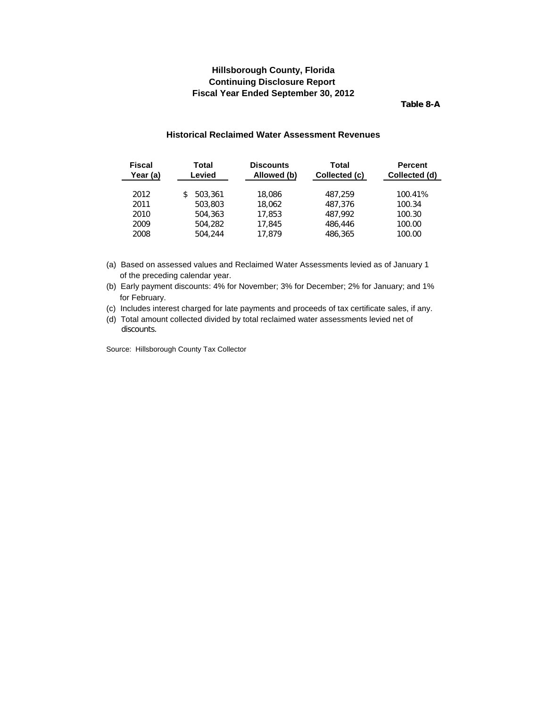**Table 8-A**

#### **Historical Reclaimed Water Assessment Revenues**

<span id="page-26-0"></span>

| <b>Fiscal</b><br>Year (a) | Total<br>Levied | <b>Discounts</b><br>Allowed (b) | Total<br>Collected (c) | <b>Percent</b><br>Collected (d) |
|---------------------------|-----------------|---------------------------------|------------------------|---------------------------------|
| 2012                      | 503,361         | 18,086                          | 487.259                | 100.41%                         |
| 2011                      | 503,803         | 18,062                          | 487.376                | 100.34                          |
| 2010                      | 504,363         | 17,853                          | 487.992                | 100.30                          |
| 2009                      | 504,282         | 17,845                          | 486,446                | 100.00                          |
| 2008                      | 504.244         | 17.879                          | 486,365                | 100.00                          |
|                           |                 |                                 |                        |                                 |

- (a) Based on assessed values and Reclaimed Water Assessments levied as of January 1 of the preceding calendar year.
- (b) Early payment discounts: 4% for November; 3% for December; 2% for January; and 1% for February.
- (c) Includes interest charged for late payments and proceeds of tax certificate sales, if any.
- (d) Total amount collected divided by total reclaimed water assessments levied net of discounts.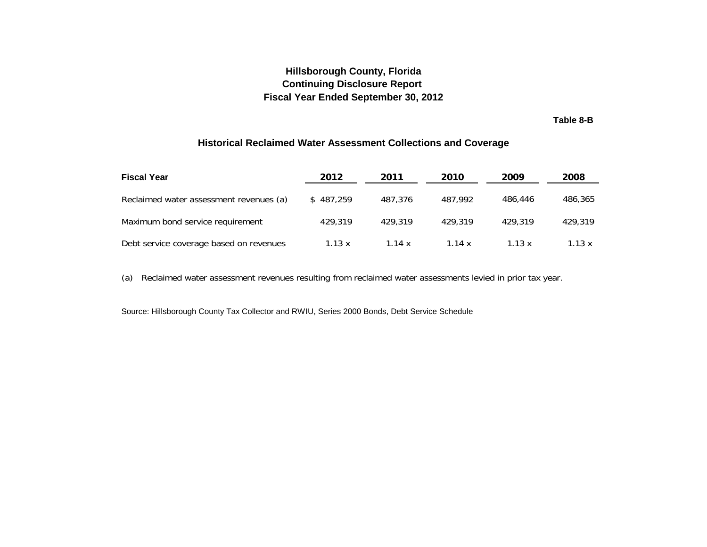**Table 8-B**

### **Historical Reclaimed Water Assessment Collections and Coverage**

<span id="page-27-0"></span>

| <b>Fiscal Year</b>                      | 2012      | 2011    | 2010     | 2009     | 2008    |
|-----------------------------------------|-----------|---------|----------|----------|---------|
| Reclaimed water assessment revenues (a) | \$487.259 | 487.376 | 487.992  | 486,446  | 486,365 |
| Maximum bond service requirement        | 429.319   | 429.319 | 429.319  | 429.319  | 429.319 |
| Debt service coverage based on revenues | 1.13 x    | 1.14x   | 1.14 $x$ | 1.13 $x$ | 1.13x   |

(a) Reclaimed water assessment revenues resulting from reclaimed water assessments levied in prior tax year.

Source: Hillsborough County Tax Collector and RWIU, Series 2000 Bonds, Debt Service Schedule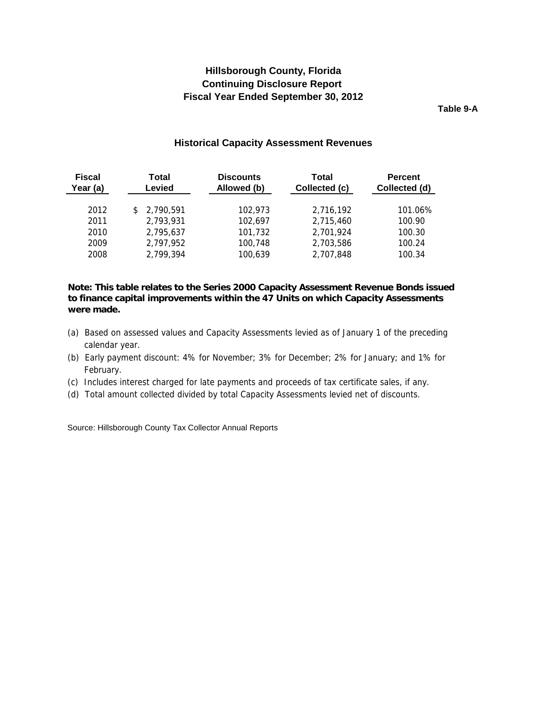**Table 9-A**

#### **Historical Capacity Assessment Revenues**

<span id="page-28-0"></span>

| <b>Fiscal</b><br>Year (a) | Total<br>Levied | <b>Discounts</b><br>Allowed (b) | Total<br>Collected (c) | <b>Percent</b><br>Collected (d) |
|---------------------------|-----------------|---------------------------------|------------------------|---------------------------------|
| 2012                      | \$2,790,591     | 102,973                         | 2.716.192              | 101.06%                         |
| 2011                      | 2,793,931       | 102,697                         | 2,715,460              | 100.90                          |
| 2010                      | 2.795.637       | 101,732                         | 2,701,924              | 100.30                          |
| 2009                      | 2,797,952       | 100,748                         | 2,703,586              | 100.24                          |
| 2008                      | 2,799,394       | 100,639                         | 2.707.848              | 100.34                          |

#### **Note: This table relates to the Series 2000 Capacity Assessment Revenue Bonds issued to finance capital improvements within the 47 Units on which Capacity Assessments were made.**

- (a) Based on assessed values and Capacity Assessments levied as of January 1 of the preceding calendar year.
- (b) Early payment discount: 4% for November; 3% for December; 2% for January; and 1% for February.
- (c) Includes interest charged for late payments and proceeds of tax certificate sales, if any.
- (d) Total amount collected divided by total Capacity Assessments levied net of discounts (d) Total amount collected divided by total Capacity Assessments levied net of discounts.

Source: Hillsborough County Tax Collector Annual Reports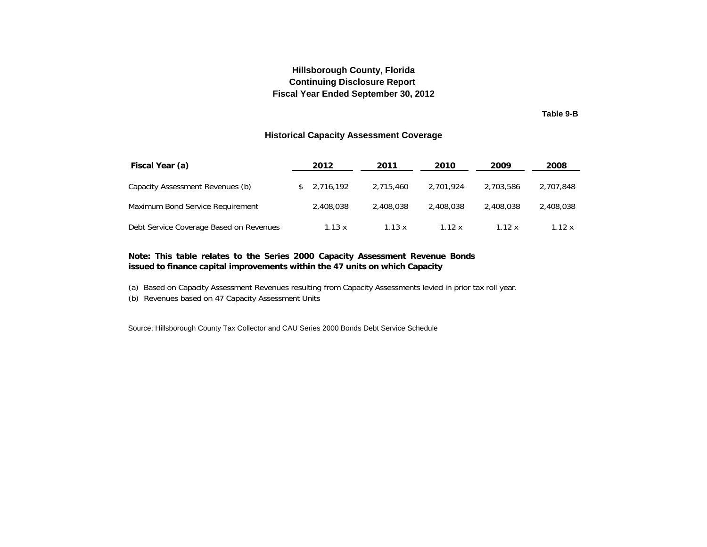### **Hillsborough County, Florida Fiscal Year Ended September 30, 2012 Continuing Disclosure Report**

**Table 9-B**

#### **Historical Capacity Assessment Coverage**

<span id="page-29-0"></span>

| Fiscal Year (a)                         | 2012        | 2011      | 2010      | 2009      | 2008      |
|-----------------------------------------|-------------|-----------|-----------|-----------|-----------|
| Capacity Assessment Revenues (b)        | \$2.716.192 | 2.715.460 | 2.701.924 | 2,703,586 | 2,707,848 |
| Maximum Bond Service Requirement        | 2,408,038   | 2,408,038 | 2,408,038 | 2,408,038 | 2,408,038 |
| Debt Service Coverage Based on Revenues | 1.13 x      | 1.13x     | 1.12x     | 1.12x     | 1.12 x    |

#### Note: This table relates to the Series 2000 Capacity Assessment Revenue Bonds **issued to finance capital improvements within the 47 units on which Capacity**

(a) Based on Capacity Assessment Revenues resulting from Capacity Assessments levied in prior tax roll year.

(b) Revenues based on 47 Capacity Assessment Units

Source: Hillsborough County Tax Collector and CAU Series 2000 Bonds Debt Service Schedule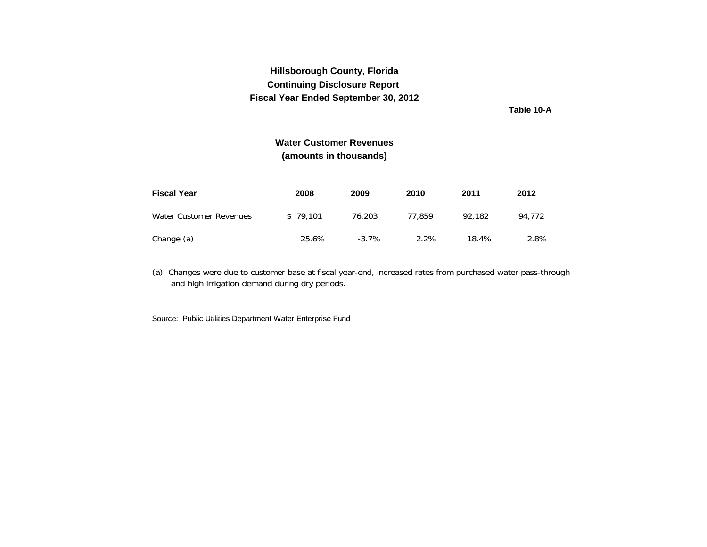**Table 10-A**

### **Water Customer Revenues(amounts in thousands)**

<span id="page-30-0"></span>

| <b>Fiscal Year</b>      | 2008     | 2009     | 2010   | 2011   | 2012   |
|-------------------------|----------|----------|--------|--------|--------|
| Water Customer Revenues | \$79.101 | 76,203   | 77.859 | 92.182 | 94.772 |
| Change (a)              | 25.6%    | $-3.7\%$ | 2.2%   | 18.4%  | 2.8%   |

(a) Changes were due to customer base at fiscal year-end, increased rates from purchased water pass-through and high irrigation demand during dry periods.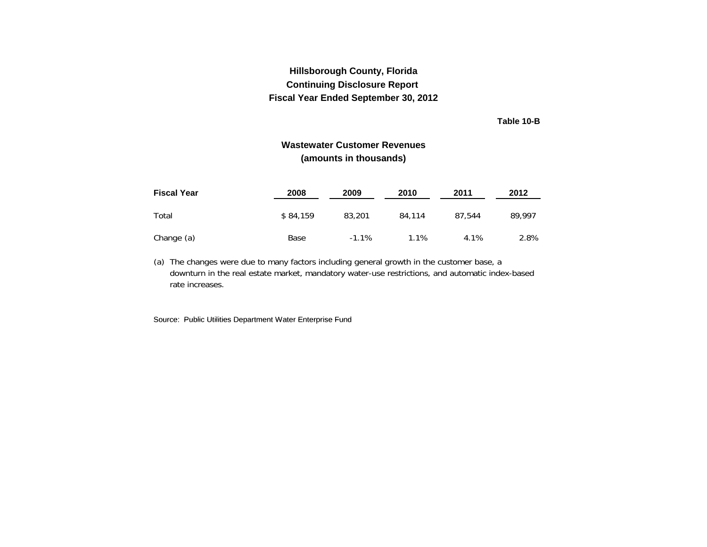**Table 10-B**

### **Wastewater Customer Revenues(amounts in thousands)**

<span id="page-31-0"></span>

| <b>Fiscal Year</b> | 2008     | 2009    | 2010   | 2011   | 2012   |
|--------------------|----------|---------|--------|--------|--------|
| Total              | \$84.159 | 83,201  | 84,114 | 87.544 | 89.997 |
| Change (a)         | Base     | $-1.1%$ | 1.1%   | 4.1%   | 2.8%   |

(a) The changes were due to many factors including general growth in the customer base, a downturn in the real estate market, mandatory water-use restrictions, and automatic index-based rate increases.

Source: Public Utilities Department Water Enterprise Fund Source: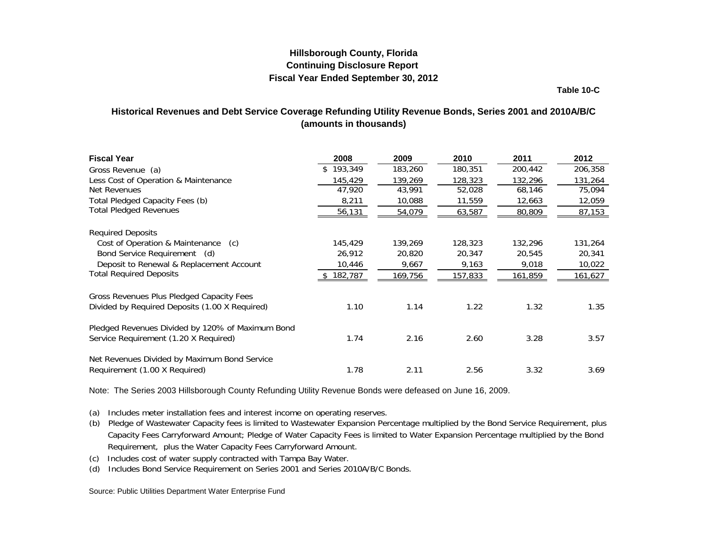**Table 10-C**

### <span id="page-32-0"></span>**Historical Revenues and Debt Service Coverage Refunding Utility Revenue Bonds, Series 2001 and 2010A/B/C (amounts in thousands)**

| <b>Fiscal Year</b>                               | 2008    | 2009            | 2010    | 2011           | 2012    |
|--------------------------------------------------|---------|-----------------|---------|----------------|---------|
| Gross Revenue (a)                                | 193,349 | 183,260         | 180,351 | 200,442        | 206,358 |
| Less Cost of Operation & Maintenance             | 145,429 | 139,269         | 128,323 | 132,296        | 131,264 |
| Net Revenues                                     | 47,920  | 43,991          | 52,028  | 68,146         | 75,094  |
| Total Pledged Capacity Fees (b)                  | 8,211   | 10,088          | 11,559  | 12,663         | 12,059  |
| <b>Total Pledged Revenues</b>                    | 56,131  | 54,079          | 63,587  | 80,809         | 87,153  |
| <b>Required Deposits</b>                         |         |                 |         |                |         |
| Cost of Operation & Maintenance<br>(c)           | 145,429 | 139,269         | 128,323 | 132,296        | 131,264 |
| Bond Service Requirement (d)                     | 26,912  | 20,820          | 20,347  | 20,545         | 20,341  |
| Deposit to Renewal & Replacement Account         | 10,446  | 9,667           | 9,163   | 9,018          | 10,022  |
| <b>Total Required Deposits</b>                   | 182,787 | <u>169,756 </u> | 157,833 | <u>161,859</u> | 161,627 |
| Gross Revenues Plus Pledged Capacity Fees        |         |                 |         |                |         |
| Divided by Required Deposits (1.00 X Required)   | 1.10    | 1.14            | 1.22    | 1.32           | 1.35    |
| Pledged Revenues Divided by 120% of Maximum Bond |         |                 |         |                |         |
| Service Requirement (1.20 X Required)            | 1.74    | 2.16            | 2.60    | 3.28           | 3.57    |
| Net Revenues Divided by Maximum Bond Service     |         |                 |         |                |         |
| Requirement (1.00 X Required)                    | 1.78    | 2.11            | 2.56    | 3.32           | 3.69    |

Note: The Series 2003 Hillsborough County Refunding Utility Revenue Bonds were defeased on June 16, 2009.

(a) Includes meter installation fees and interest income on operating reserves.

- (b) Pledge of Wastewater Capacity fees is limited to Wastewater Expansion Percentage multiplied by the Bond Service Requirement, plus Capacity Fees Carryforward Amount; Pledge of Water Capacity Fees is limited to Water Expansion Percentage multiplied by the Bond Requirement, plus the Water Capacity Fees Carryforward Amount.
- (c) Includes cost of water supply contracted with Tampa Bay Water.
- (d) Includes Bond Service Requirement on Series 2001 and Series 2010A/B/C Bonds.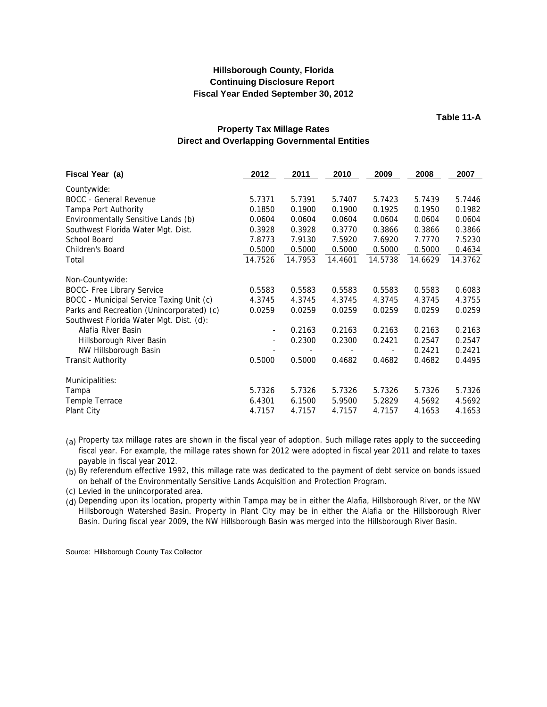**Table 11-A**

### **Property Tax Millage Rates Direct and Overlapping Governmental Entities**

<span id="page-33-0"></span>

| Fiscal Year (a)                           | 2012                     | 2011    | 2010    | 2009    | 2008    | 2007    |
|-------------------------------------------|--------------------------|---------|---------|---------|---------|---------|
| Countywide:                               |                          |         |         |         |         |         |
| <b>BOCC</b> - General Revenue             | 5.7371                   | 5.7391  | 5.7407  | 5.7423  | 5.7439  | 5.7446  |
| Tampa Port Authority                      | 0.1850                   | 0.1900  | 0.1900  | 0.1925  | 0.1950  | 0.1982  |
| Environmentally Sensitive Lands (b)       | 0.0604                   | 0.0604  | 0.0604  | 0.0604  | 0.0604  | 0.0604  |
| Southwest Florida Water Mgt. Dist.        | 0.3928                   | 0.3928  | 0.3770  | 0.3866  | 0.3866  | 0.3866  |
| School Board                              | 7.8773                   | 7.9130  | 7.5920  | 7.6920  | 7.7770  | 7.5230  |
| Children's Board                          | 0.5000                   | 0.5000  | 0.5000  | 0.5000  | 0.5000  | 0.4634  |
| Total                                     | 14.7526                  | 14.7953 | 14.4601 | 14.5738 | 14.6629 | 14.3762 |
| Non-Countywide:                           |                          |         |         |         |         |         |
| <b>BOCC- Free Library Service</b>         | 0.5583                   | 0.5583  | 0.5583  | 0.5583  | 0.5583  | 0.6083  |
| BOCC - Municipal Service Taxing Unit (c)  | 4.3745                   | 4.3745  | 4.3745  | 4.3745  | 4.3745  | 4.3755  |
| Parks and Recreation (Unincorporated) (c) | 0.0259                   | 0.0259  | 0.0259  | 0.0259  | 0.0259  | 0.0259  |
| Southwest Florida Water Mgt. Dist. (d):   |                          |         |         |         |         |         |
| Alafia River Basin                        | $\overline{\phantom{a}}$ | 0.2163  | 0.2163  | 0.2163  | 0.2163  | 0.2163  |
| Hillsborough River Basin                  | ٠                        | 0.2300  | 0.2300  | 0.2421  | 0.2547  | 0.2547  |
| NW Hillsborough Basin                     |                          |         |         |         | 0.2421  | 0.2421  |
| <b>Transit Authority</b>                  | 0.5000                   | 0.5000  | 0.4682  | 0.4682  | 0.4682  | 0.4495  |
| Municipalities:                           |                          |         |         |         |         |         |
| Tampa                                     | 5.7326                   | 5.7326  | 5.7326  | 5.7326  | 5.7326  | 5.7326  |
| Temple Terrace                            | 6.4301                   | 6.1500  | 5.9500  | 5.2829  | 4.5692  | 4.5692  |
| Plant City                                | 4.7157                   | 4.7157  | 4.7157  | 4.7157  | 4.1653  | 4.1653  |

(a) Property tax millage rates are shown in the fiscal year of adoption. Such millage rates apply to the succeeding fiscal year. For example, the millage rates shown for 2012 were adopted in fiscal year 2011 and relate to taxes payable in fiscal year 2012.

(b) By referendum effective 1992, this millage rate was dedicated to the payment of debt service on bonds issued on behalf of the Environmentally Sensitive Lands Acquisition and Protection Program.

(c) Levied in the unincorporated area.

(d) Depending upon its location, property within Tampa may be in either the Alafia, Hillsborough River, or the NW Hillsborough Watershed Basin. Property in Plant City may be in either the Alafia or the Hillsborough River Basin. During fiscal year 2009, the NW Hillsborough Basin was merged into the Hillsborough River Basin.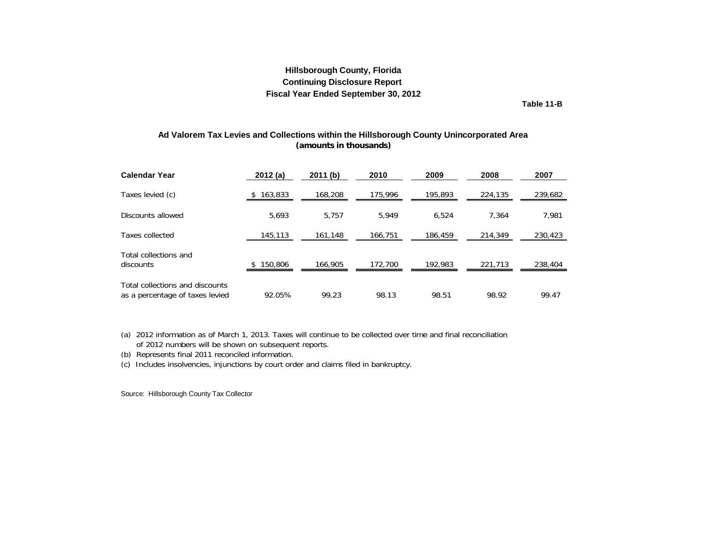**Table 11-B**

#### <span id="page-34-0"></span>**(amounts in thousands) Ad Valorem Tax Levies and Collections within the Hillsborough County Unincorporated Area**

| <b>Calendar Year</b>                                               | 2012(a) | 2011(b) | 2010    | 2009    | 2008    | 2007    |
|--------------------------------------------------------------------|---------|---------|---------|---------|---------|---------|
| Taxes levied (c)                                                   | 163,833 | 168,208 | 175,996 | 195,893 | 224,135 | 239,682 |
| Discounts allowed                                                  | 5,693   | 5.757   | 5.949   | 6.524   | 7.364   | 7,981   |
| Taxes collected                                                    | 145,113 | 161,148 | 166,751 | 186,459 | 214,349 | 230,423 |
| Total collections and<br>discounts                                 | 150,806 | 166,905 | 172,700 | 192,983 | 221,713 | 238,404 |
| Total collections and discounts<br>as a percentage of taxes levied | 92.05%  | 99.23   | 98.13   | 98.51   | 98.92   | 99.47   |

(a) 2012 information as of March 1, 2013. Taxes will continue to be collected over time and final reconciliation of 2012 numbers will be shown on subsequent reports.

(b) Represents final 2011 reconciled information.

(c) Includes insolvencies, injunctions by court order and claims filed in bankruptcy.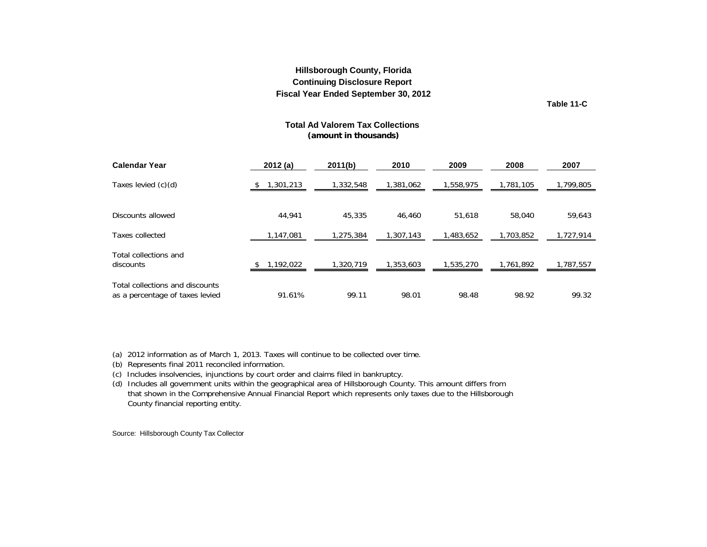**Table 11-C**

#### **Total Ad Valorem Tax Collections (amount in thousands)**

<span id="page-35-0"></span>

| <b>Calendar Year</b>                                               | 2012(a)   | 2011(b)   | 2010      | 2009      | 2008      | 2007      |
|--------------------------------------------------------------------|-----------|-----------|-----------|-----------|-----------|-----------|
| Taxes levied (c)(d)                                                | 1,301,213 | 1,332,548 | 1,381,062 | 1,558,975 | 1,781,105 | 1,799,805 |
| Discounts allowed                                                  | 44,941    | 45,335    | 46,460    | 51,618    | 58,040    | 59,643    |
| Taxes collected                                                    | 1,147,081 | 1,275,384 | 1,307,143 | 1,483,652 | 1,703,852 | 1,727,914 |
| Total collections and<br>discounts                                 | 1,192,022 | 1,320,719 | 1,353,603 | 1,535,270 | 1,761,892 | 1,787,557 |
| Total collections and discounts<br>as a percentage of taxes levied | 91.61%    | 99.11     | 98.01     | 98.48     | 98.92     | 99.32     |

(a) 2012 information as of March 1, 2013. Taxes will continue to be collected over time.

- (b) Represents final 2011 reconciled information.
- (c) Includes insolvencies, injunctions by court order and claims filed in bankruptcy.
- (d) Includes all government units within the geographical area of Hillsborough County. This amount differs from that shown in the Comprehensive Annual Financial Report which represents only taxes due to the Hillsborough County financial reporting entity.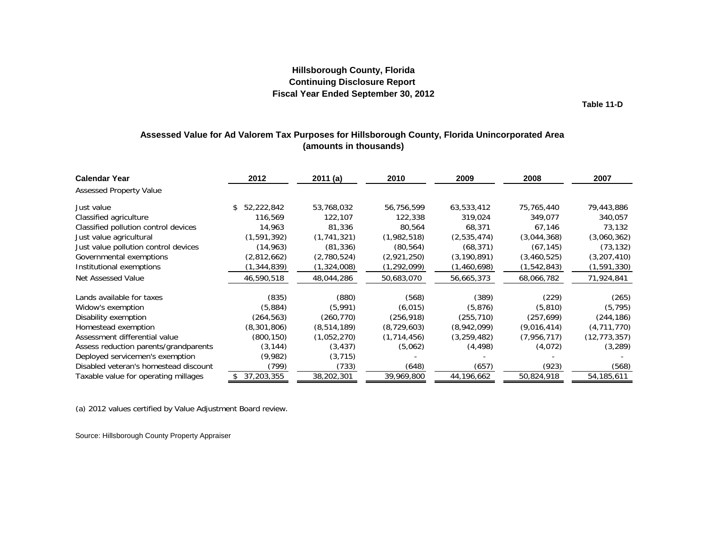**Table 11-D**

### **Assessed Value for Ad Valorem Tax Purposes for Hillsborough County, Florida Unincorporated Area (amounts in thousands)**

<span id="page-36-0"></span>

| <b>Calendar Year</b>                  | 2012              | 2011(a)     | 2010          | 2009          | 2008          | 2007           |
|---------------------------------------|-------------------|-------------|---------------|---------------|---------------|----------------|
| <b>Assessed Property Value</b>        |                   |             |               |               |               |                |
| Just value                            | 52,222,842<br>\$. | 53,768,032  | 56,756,599    | 63,533,412    | 75,765,440    | 79,443,886     |
| Classified agriculture                | 116,569           | 122,107     | 122,338       | 319,024       | 349,077       | 340,057        |
| Classified pollution control devices  | 14,963            | 81,336      | 80,564        | 68,371        | 67,146        | 73,132         |
| Just value agricultural               | (1, 591, 392)     | (1,741,321) | (1,982,518)   | (2,535,474)   | (3,044,368)   | (3,060,362)    |
| Just value pollution control devices  | (14, 963)         | (81, 336)   | (80, 564)     | (68, 371)     | (67, 145)     | (73, 132)      |
| Governmental exemptions               | (2,812,662)       | (2,780,524) | (2,921,250)   | (3, 190, 891) | (3,460,525)   | (3,207,410)    |
| Institutional exemptions              | (1,344,839)       | (1,324,008) | (1, 292, 099) | (1,460,698)   | (1, 542, 843) | (1, 591, 330)  |
| Net Assessed Value                    | 46,590,518        | 48,044,286  | 50,683,070    | 56,665,373    | 68,066,782    | 71,924,841     |
| Lands available for taxes             | (835)             | (880)       | (568)         | (389)         | (229)         | (265)          |
| Widow's exemption                     | (5,884)           | (5,991)     | (6,015)       | (5,876)       | (5,810)       | (5, 795)       |
| Disability exemption                  | (264, 563)        | (260, 770)  | (256, 918)    | (255, 710)    | (257, 699)    | (244, 186)     |
| Homestead exemption                   | (8,301,806)       | (8,514,189) | (8, 729, 603) | (8,942,099)   | (9,016,414)   | (4,711,770)    |
| Assessment differential value         | (800, 150)        | (1,052,270) | (1, 714, 456) | (3,259,482)   | (7,956,717)   | (12, 773, 357) |
| Assess reduction parents/grandparents | (3, 144)          | (3, 437)    | (5,062)       | (4, 498)      | (4,072)       | (3, 289)       |
| Deployed servicemen's exemption       | (9,982)           | (3, 715)    |               |               |               |                |
| Disabled veteran's homestead discount | (799)             | (733)       | (648)         | (657)         | (923)         | (568)          |
| Taxable value for operating millages  | 37,203,355        | 38,202,301  | 39,969,800    | 44,196,662    | 50,824,918    | 54,185,611     |

(a) 2012 values certified by Value Adjustment Board review.

Source: Hillsborough County Property Appraiser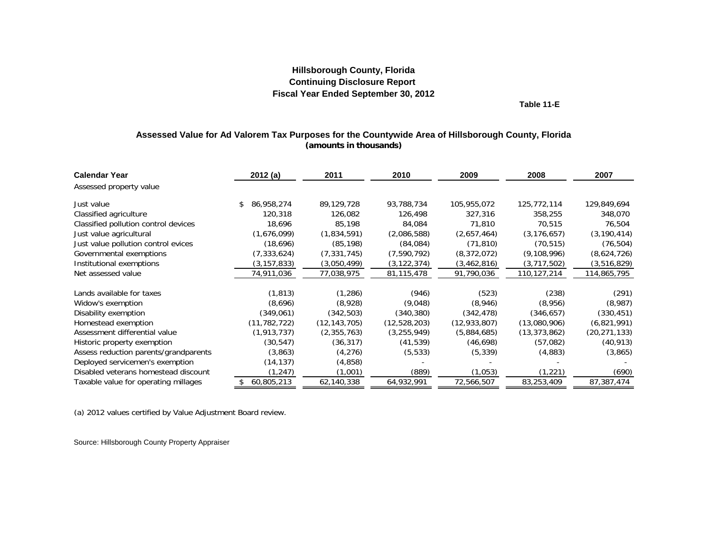**Table 11-E**

#### **Assessed Value for Ad Valorem Tax Purposes for the Countywide Area of Hillsborough County, Florida (amounts in thousands)**

<span id="page-37-0"></span>

| <b>Calendar Year</b>                  | 2012(a)          | 2011           | 2010          | 2009           | 2008           | 2007           |
|---------------------------------------|------------------|----------------|---------------|----------------|----------------|----------------|
| Assessed property value               |                  |                |               |                |                |                |
| Just value                            | 86,958,274<br>S. | 89,129,728     | 93,788,734    | 105,955,072    | 125,772,114    | 129,849,694    |
| Classified agriculture                | 120,318          | 126,082        | 126,498       | 327,316        | 358,255        | 348,070        |
| Classified pollution control devices  | 18,696           | 85,198         | 84,084        | 71,810         | 70,515         | 76,504         |
| Just value agricultural               | (1,676,099)      | (1,834,591)    | (2,086,588)   | (2,657,464)    | (3, 176, 657)  | (3, 190, 414)  |
| Just value pollution control evices   | (18,696)         | (85, 198)      | (84,084)      | (71, 810)      | (70, 515)      | (76, 504)      |
| Governmental exemptions               | (7, 333, 624)    | (7, 331, 745)  | (7,590,792)   | (8,372,072)    | (9, 108, 996)  | (8,624,726)    |
| Institutional exemptions              | (3,157,833)      | (3,050,499)    | (3, 122, 374) | (3,462,816)    | (3,717,502)    | (3,516,829)    |
| Net assessed value                    | 74,911,036       | 77,038,975     | 81,115,478    | 91,790,036     | 110,127,214    | 114,865,795    |
|                                       |                  |                |               |                |                |                |
| Lands available for taxes             | (1, 813)         | (1,286)        | (946)         | (523)          | (238)          | (291)          |
| Widow's exemption                     | (8,696)          | (8,928)        | (9,048)       | (8,946)        | (8,956)        | (8,987)        |
| Disability exemption                  | (349,061)        | (342,503)      | (340, 380)    | (342, 478)     | (346, 657)     | (330, 451)     |
| Homestead exemption                   | (11, 782, 722)   | (12, 143, 705) | (12,528,203)  | (12, 933, 807) | (13,080,906)   | (6,821,991)    |
| Assessment differential value         | (1,913,737)      | (2,355,763)    | (3, 255, 949) | (5,884,685)    | (13, 373, 862) | (20, 271, 133) |
| Historic property exemption           | (30, 547)        | (36, 317)      | (41, 539)     | (46, 698)      | (57,082)       | (40,913)       |
| Assess reduction parents/grandparents | (3,863)          | (4,276)        | (5, 533)      | (5, 339)       | (4,883)        | (3,865)        |
| Deployed servicemen's exemption       | (14, 137)        | (4,858)        |               |                |                |                |
| Disabled veterans homestead discount  | (1, 247)         | (1,001)        | (889)         | (1,053)        | (1,221)        | (690)          |
| Taxable value for operating millages  | 60,805,213       | 62,140,338     | 64,932,991    | 72,566,507     | 83,253,409     | 87,387,474     |

(a) 2012 values certified by Value Adjustment Board review.

Source: Hillsborough County Property Appraiser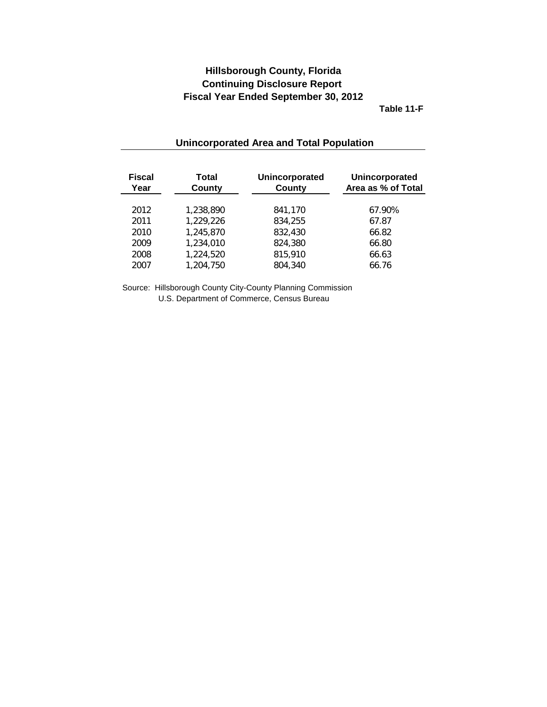**Table 11-F**

<span id="page-38-0"></span>

| <b>Fiscal</b><br>Year | Total<br>County | Unincorporated<br><b>County</b> | Unincorporated<br>Area as % of Total |
|-----------------------|-----------------|---------------------------------|--------------------------------------|
| 2012                  | 1,238,890       | 841,170                         | 67.90%                               |
| 2011                  | 1,229,226       | 834,255                         | 67.87                                |
| 2010                  | 1,245,870       | 832,430                         | 66.82                                |
| 2009                  | 1,234,010       | 824,380                         | 66.80                                |
| 2008                  | 1,224,520       | 815,910                         | 66.63                                |
| 2007                  | 1,204,750       | 804,340                         | 66.76                                |

### **Unincorporated Area and Total Population**

Source: Hillsborough County City-County Planning Commission U.S. Department of Commerce, Census Bureau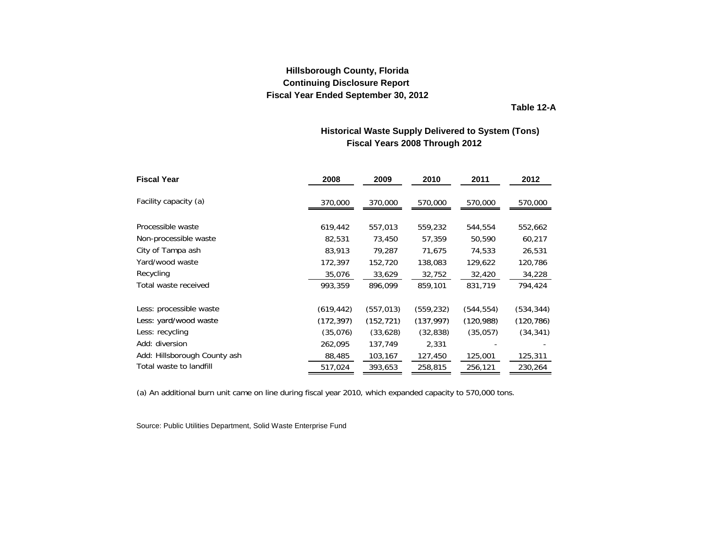**Table 12-A**

### **Fiscal Years 2008 Through 2012 Historical Waste Supply Delivered to System (Tons)**

<span id="page-39-0"></span>

| <b>Fiscal Year</b>           | 2008       | 2009       | 2010       | 2011       | 2012       |
|------------------------------|------------|------------|------------|------------|------------|
| Facility capacity (a)        | 370,000    | 370,000    | 570,000    | 570,000    | 570,000    |
|                              |            |            |            |            |            |
| Processible waste            | 619,442    | 557,013    | 559,232    | 544,554    | 552,662    |
| Non-processible waste        | 82,531     | 73,450     | 57,359     | 50,590     | 60,217     |
| City of Tampa ash            | 83,913     | 79,287     | 71,675     | 74,533     | 26,531     |
| Yard/wood waste              | 172,397    | 152,720    | 138,083    | 129,622    | 120,786    |
| Recycling                    | 35,076     | 33,629     | 32,752     | 32,420     | 34,228     |
| Total waste received         | 993,359    | 896,099    | 859,101    | 831,719    | 794,424    |
| Less: processible waste      | (619, 442) | (557,013)  | (559, 232) | (544, 554) | (534, 344) |
| Less: yard/wood waste        | (172, 397) | (152, 721) | (137, 997) | (120, 988) | (120, 786) |
| Less: recycling              | (35,076)   | (33,628)   | (32, 838)  | (35,057)   | (34, 341)  |
| Add: diversion               | 262,095    | 137,749    | 2,331      |            |            |
| Add: Hillsborough County ash | 88,485     | 103,167    | 127,450    | 125,001    | 125,311    |
| Total waste to landfill      | 517,024    | 393,653    | 258,815    | 256,121    | 230,264    |

(a) An additional burn unit came on line during fiscal year 2010, which expanded capacity to 570,000 tons.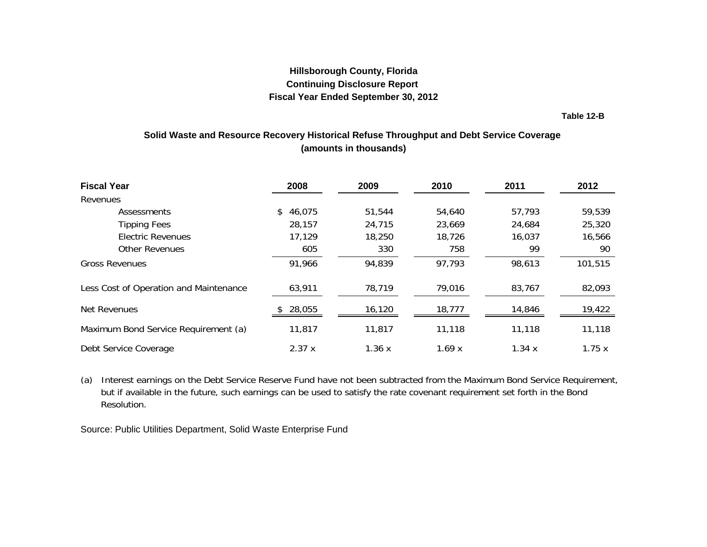**Table 12-B**

### <span id="page-40-0"></span>**Solid Waste and Resource Recovery Historical Refuse Throughput and Debt Service Coverage (amounts in thousands)**

| <b>Fiscal Year</b>                     | 2008     | 2009   | 2010   | 2011   | 2012    |
|----------------------------------------|----------|--------|--------|--------|---------|
| Revenues                               |          |        |        |        |         |
| Assessments                            | \$46,075 | 51,544 | 54,640 | 57,793 | 59,539  |
| <b>Tipping Fees</b>                    | 28,157   | 24,715 | 23,669 | 24,684 | 25,320  |
| <b>Electric Revenues</b>               | 17,129   | 18,250 | 18,726 | 16,037 | 16,566  |
| <b>Other Revenues</b>                  | 605      | 330    | 758    | 99     | 90      |
| <b>Gross Revenues</b>                  | 91,966   | 94,839 | 97,793 | 98,613 | 101,515 |
| Less Cost of Operation and Maintenance | 63,911   | 78,719 | 79,016 | 83,767 | 82,093  |
| Net Revenues                           | 28,055   | 16,120 | 18,777 | 14,846 | 19,422  |
| Maximum Bond Service Requirement (a)   | 11,817   | 11,817 | 11,118 | 11,118 | 11,118  |
| Debt Service Coverage                  | 2.37x    | 1.36x  | 1.69x  | 1.34x  | 1.75x   |

(a) Interest earnings on the Debt Service Reserve Fund have not been subtracted from the Maximum Bond Service Requirement, but if available in the future, such earnings can be used to satisfy the rate covenant requirement set forth in the Bond Resolution.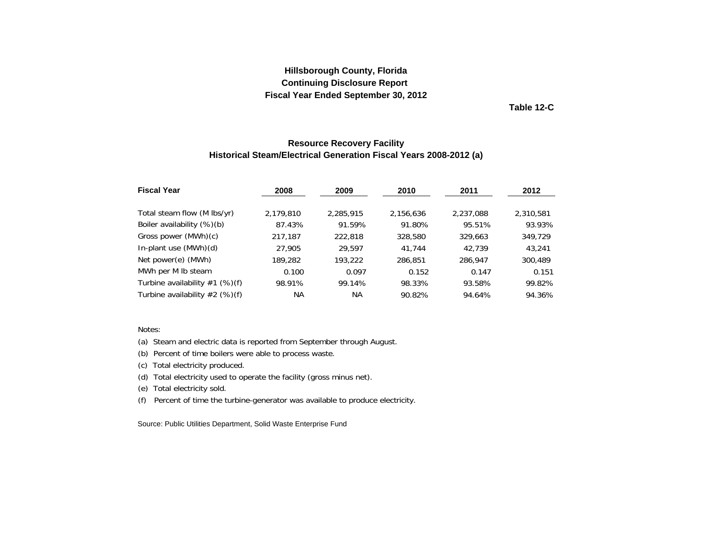**Table 12-C**

### **Resource Recovery Facility Historical Steam/Electrical Generation Fiscal Years 2008-2012 (a)**

<span id="page-41-0"></span>

| <b>Fiscal Year</b>               | 2008      | 2009      | 2010      | 2011      | 2012      |
|----------------------------------|-----------|-----------|-----------|-----------|-----------|
| Total steam flow (M lbs/yr)      | 2,179,810 | 2,285,915 | 2,156,636 | 2,237,088 | 2,310,581 |
| Boiler availability (%)(b)       | 87.43%    | 91.59%    | 91.80%    | 95.51%    | 93.93%    |
| Gross power (MWh)(c)             | 217,187   | 222,818   | 328,580   | 329,663   | 349.729   |
| In-plant use (MWh)(d)            | 27,905    | 29.597    | 41.744    | 42.739    | 43,241    |
| Net power(e) (MWh)               | 189,282   | 193,222   | 286,851   | 286,947   | 300,489   |
| MWh per M Ib steam               | 0.100     | 0.097     | 0.152     | 0.147     | 0.151     |
| Turbine availability $#1$ (%)(f) | 98.91%    | 99.14%    | 98.33%    | 93.58%    | 99.82%    |
| Turbine availability $#2$ (%)(f) | NА        | NА        | 90.82%    | 94.64%    | 94.36%    |

#### Notes:

(a) Steam and electric data is reported from September through August.

(b) Percent of time boilers were able to process waste.

(c) Total electricity produced.

(d) Total electricity used to operate the facility (gross minus net).

(e) Total electricity sold.

(f) Percent of time the turbine-generator was available to produce electricity.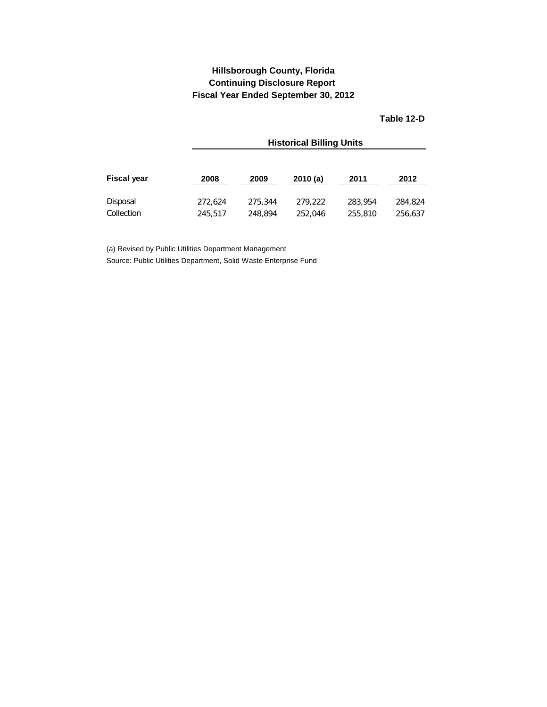### **Fiscal Year Ended September 30, 2012 Hillsborough County, Florida Continuing Disclosure Report**

**Table 12-D**

<span id="page-42-0"></span>

|                    |         | <b>Historical Billing Units</b> |         |         |         |  |  |  |  |
|--------------------|---------|---------------------------------|---------|---------|---------|--|--|--|--|
| <b>Fiscal year</b> | 2008    | 2009                            | 2010(a) | 2011    | 2012    |  |  |  |  |
| Disposal           | 272.624 | 275,344                         | 279.222 | 283,954 | 284,824 |  |  |  |  |
| Collection         | 245.517 | 248.894                         | 252,046 | 255,810 | 256,637 |  |  |  |  |

(a) Revised by Public Utilities Department Management Source: Public Utilities Department, Solid Waste Enterprise Fund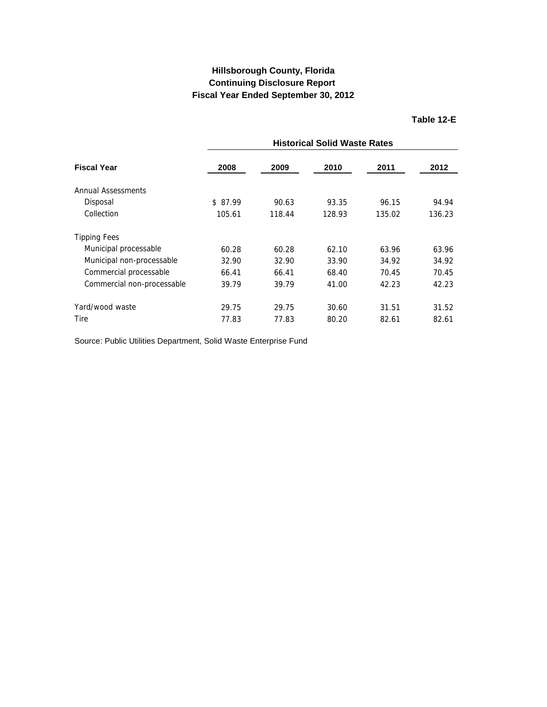### **Table 12-E**

<span id="page-43-0"></span>

| <b>Fiscal Year</b>         |         | <b>Historical Solid Waste Rates</b> |        |        |        |  |  |  |
|----------------------------|---------|-------------------------------------|--------|--------|--------|--|--|--|
|                            | 2008    | 2009                                | 2010   | 2011   | 2012   |  |  |  |
| Annual Assessments         |         |                                     |        |        |        |  |  |  |
| Disposal                   | \$87.99 | 90.63                               | 93.35  | 96.15  | 94.94  |  |  |  |
| Collection                 | 105.61  | 118.44                              | 128.93 | 135.02 | 136.23 |  |  |  |
| <b>Tipping Fees</b>        |         |                                     |        |        |        |  |  |  |
| Municipal processable      | 60.28   | 60.28                               | 62.10  | 63.96  | 63.96  |  |  |  |
| Municipal non-processable  | 32.90   | 32.90                               | 33.90  | 34.92  | 34.92  |  |  |  |
| Commercial processable     | 66.41   | 66.41                               | 68.40  | 70.45  | 70.45  |  |  |  |
| Commercial non-processable | 39.79   | 39.79                               | 41.00  | 42.23  | 42.23  |  |  |  |
| Yard/wood waste            | 29.75   | 29.75                               | 30.60  | 31.51  | 31.52  |  |  |  |
| <b>Tire</b>                | 77.83   | 77.83                               | 80.20  | 82.61  | 82.61  |  |  |  |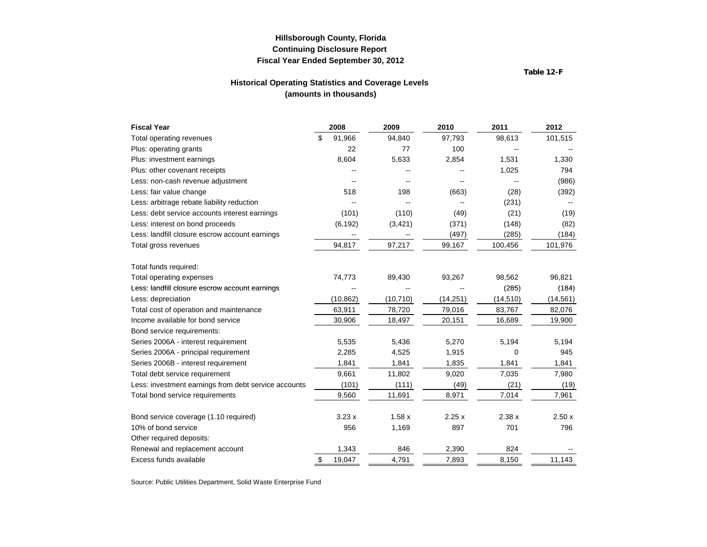**Table 12-F**

#### **Historical Operating Statistics and Coverage Levels (amounts in thousands)**

<span id="page-44-0"></span>

| <b>Fiscal Year</b>                                   | 2008         | 2009      | 2010      | 2011      | 2012      |
|------------------------------------------------------|--------------|-----------|-----------|-----------|-----------|
| Total operating revenues                             | \$<br>91,966 | 94,840    | 97,793    | 98,613    | 101,515   |
| Plus: operating grants                               | 22           | 77        | 100       |           |           |
| Plus: investment earnings                            | 8,604        | 5,633     | 2,854     | 1,531     | 1,330     |
| Plus: other covenant receipts                        |              |           |           | 1,025     | 794       |
| Less: non-cash revenue adjustment                    |              |           |           |           | (986)     |
| Less: fair value change                              | 518          | 198       | (663)     | (28)      | (392)     |
| Less: arbitrage rebate liability reduction           |              |           |           | (231)     |           |
| Less: debt service accounts interest earnings        | (101)        | (110)     | (49)      | (21)      | (19)      |
| Less: interest on bond proceeds                      | (6, 192)     | (3,421)   | (371)     | (148)     | (82)      |
| Less: landfill closure escrow account earnings       | ۰.           |           | (497)     | (285)     | (184)     |
| Total gross revenues                                 | 94,817       | 97,217    | 99,167    | 100,456   | 101,976   |
| Total funds required:                                |              |           |           |           |           |
| Total operating expenses                             | 74,773       | 89,430    | 93,267    | 98,562    | 96,821    |
| Less: landfill closure escrow account earnings       |              |           |           | (285)     | (184)     |
| Less: depreciation                                   | (10, 862)    | (10, 710) | (14, 251) | (14, 510) | (14, 561) |
| Total cost of operation and maintenance              | 63,911       | 78,720    | 79,016    | 83,767    | 82,076    |
| Income available for bond service                    | 30,906       | 18,497    | 20,151    | 16,689    | 19,900    |
| Bond service requirements:                           |              |           |           |           |           |
| Series 2006A - interest requirement                  | 5,535        | 5,436     | 5,270     | 5,194     | 5,194     |
| Series 2006A - principal requirement                 | 2,285        | 4,525     | 1,915     | 0         | 945       |
| Series 2006B - interest requirement                  | 1,841        | 1,841     | 1,835     | 1,841     | 1,841     |
| Total debt service requirement                       | 9,661        | 11,802    | 9,020     | 7,035     | 7,980     |
| Less: investment earnings from debt service accounts | (101)        | (111)     | (49)      | (21)      | (19)      |
| Total bond service requirements                      | 9,560        | 11,691    | 8,971     | 7,014     | 7,961     |
| Bond service coverage (1.10 required)                | 3.23x        | 1.58x     | 2.25x     | 2.38x     | 2.50x     |
| 10% of bond service                                  | 956          | 1,169     | 897       | 701       | 796       |
| Other required deposits:                             |              |           |           |           |           |
| Renewal and replacement account                      | 1,343        | 846       | 2,390     | 824       |           |
| Excess funds available                               | \$<br>19,047 | 4,791     | 7,893     | 8,150     | 11,143    |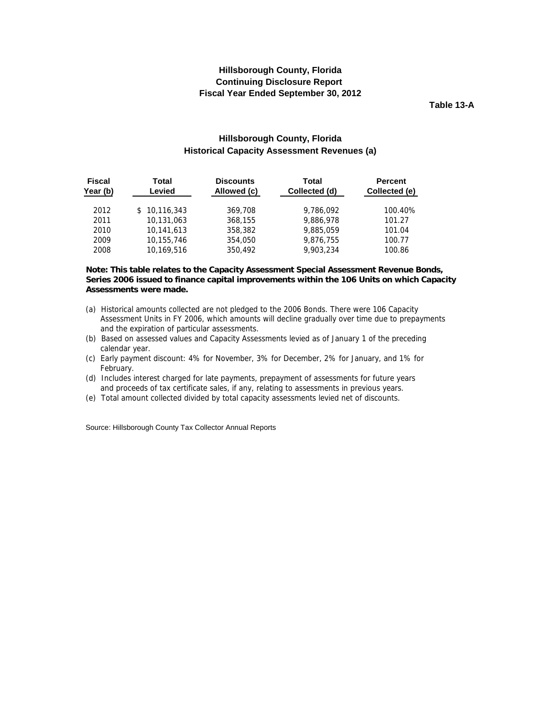**Table 13-A**

### **Hillsborough County, Florida Historical Capacity Assessment Revenues (a)**

<span id="page-45-0"></span>

| <b>Fiscal</b><br>Year (b) | Total<br>Levied | <b>Discounts</b><br>Allowed (c) | Total<br>Collected (d) | <b>Percent</b><br>Collected (e) |
|---------------------------|-----------------|---------------------------------|------------------------|---------------------------------|
| 2012                      | \$10,116,343    | 369,708                         | 9,786,092              | 100.40%                         |
| 2011                      | 10,131,063      | 368,155                         | 9,886,978              | 101.27                          |
| 2010                      | 10,141,613      | 358,382                         | 9,885,059              | 101.04                          |
| 2009                      | 10,155,746      | 354,050                         | 9,876,755              | 100.77                          |
| 2008                      | 10,169,516      | 350,492                         | 9.903.234              | 100.86                          |

#### **Note: This table relates to the Capacity Assessment Special Assessment Revenue Bonds, Series 2006 issued to finance capital improvements within the 106 Units on which Capacity Assessments were made.**

- (a) Historical amounts collected are not pledged to the 2006 Bonds. There were 106 Capacity Assessment Units in FY 2006, which amounts will decline gradually over time due to prepayments and the expiration of particular assessments.
- (b) Based on assessed values and Capacity Assessments levied as of January 1 of the preceding calendar year.
- (c) Early payment discount: 4% for November, 3% for December, 2% for January, and 1% for February.
- (d) Includes interest charged for late payments, prepayment of assessments for future years and proceeds of tax certificate sales, if any, relating to assessments in previous years.
- (e) Total amount collected divided by total capacity assessments levied net of discounts.

Source: Hillsborough County Tax Collector Annual Reports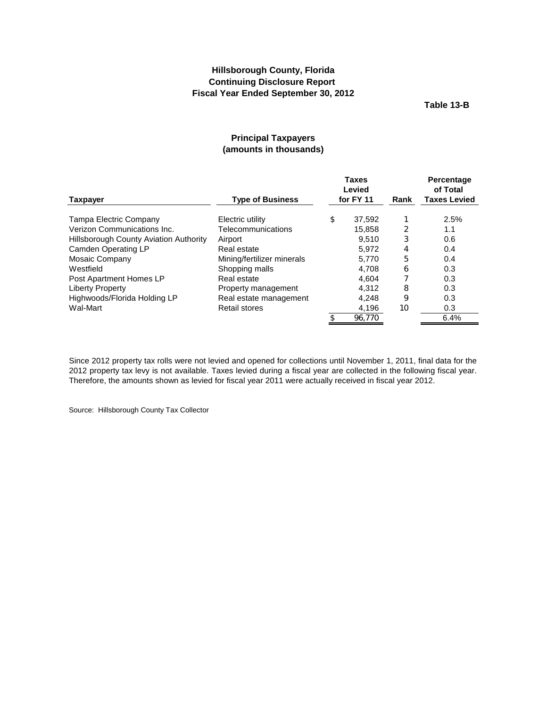**Table 13-B**

### **Principal Taxpayers (amounts in thousands)**

<span id="page-46-0"></span>

|                                               | <b>Taxes</b><br>Levied     |    |           | Rank | <b>Percentage</b><br>of Total |
|-----------------------------------------------|----------------------------|----|-----------|------|-------------------------------|
| <b>Taxpayer</b>                               | <b>Type of Business</b>    |    | for FY 11 |      | <b>Taxes Levied</b>           |
| Tampa Electric Company                        | Electric utility           | \$ | 37.592    |      | 2.5%                          |
| Verizon Communications Inc.                   | Telecommunications         |    | 15.858    | 2    | 1.1                           |
| <b>Hillsborough County Aviation Authority</b> | Airport                    |    | 9.510     | 3    | 0.6                           |
| Camden Operating LP                           | Real estate                |    | 5.972     | 4    | 0.4                           |
| Mosaic Company                                | Mining/fertilizer minerals |    | 5.770     | 5    | 0.4                           |
| Westfield                                     | Shopping malls             |    | 4.708     | 6    | 0.3                           |
| Post Apartment Homes LP                       | Real estate                |    | 4.604     |      | 0.3                           |
| Liberty Property                              | Property management        |    | 4,312     | 8    | 0.3                           |
| Highwoods/Florida Holding LP                  | Real estate management     |    | 4,248     | 9    | 0.3                           |
| Wal-Mart                                      | <b>Retail stores</b>       |    | 4,196     | 10   | 0.3                           |
|                                               |                            |    | 96.770    |      | 6.4%                          |

Since 2012 property tax rolls were not levied and opened for collections until November 1, 2011, final data for the 2012 property tax levy is not available. Taxes levied during a fiscal year are collected in the following fiscal year. Therefore, the amounts shown as levied for fiscal year 2011 were actually received in fiscal year 2012.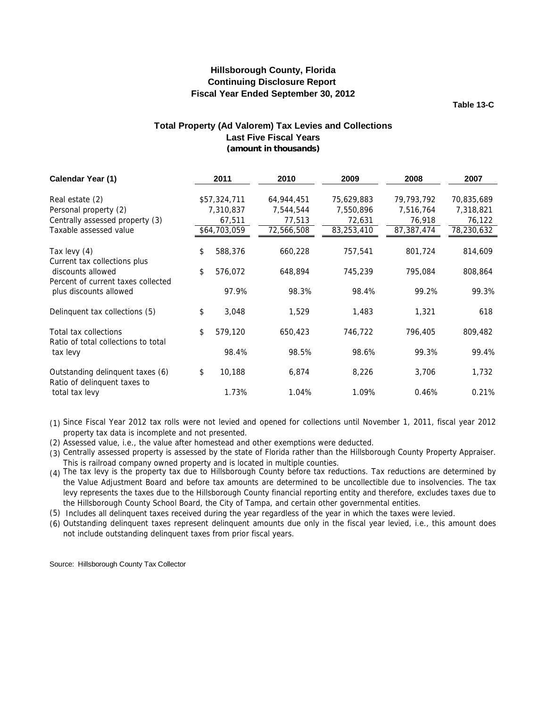**Table 13-C**

#### **(amount in thousands) Total Property (Ad Valorem) Tax Levies and Collections Last Five Fiscal Years**

<span id="page-47-0"></span>

| Calendar Year (1)                                                        | 2011          | 2010       | 2009       | 2008       | 2007       |
|--------------------------------------------------------------------------|---------------|------------|------------|------------|------------|
|                                                                          |               |            |            |            |            |
| Real estate (2)                                                          | \$57,324,711  | 64,944,451 | 75,629,883 | 79,793,792 | 70,835,689 |
| Personal property (2)                                                    | 7,310,837     | 7,544,544  | 7,550,896  | 7,516,764  | 7,318,821  |
| Centrally assessed property (3)                                          | 67,511        | 77,513     | 72,631     | 76,918     | 76,122     |
| Taxable assessed value                                                   | \$64,703,059  | 72,566,508 | 83,253,410 | 87,387,474 | 78,230,632 |
| Tax levy (4)                                                             | \$<br>588,376 | 660,228    | 757,541    | 801,724    | 814,609    |
| Current tax collections plus<br>discounts allowed                        | \$<br>576,072 | 648,894    | 745,239    | 795,084    | 808,864    |
| Percent of current taxes collected<br>plus discounts allowed             | 97.9%         | 98.3%      | 98.4%      | 99.2%      | 99.3%      |
| Delinquent tax collections (5)                                           | \$<br>3,048   | 1,529      | 1,483      | 1,321      | 618        |
| Total tax collections<br>Ratio of total collections to total<br>tax levy | \$<br>579,120 | 650,423    | 746,722    | 796,405    | 809,482    |
|                                                                          | 98.4%         | 98.5%      | 98.6%      | 99.3%      | 99.4%      |
| Outstanding delinquent taxes (6)<br>Ratio of delinquent taxes to         | \$<br>10,188  | 6,874      | 8,226      | 3,706      | 1,732      |
| total tax levy                                                           | 1.73%         | 1.04%      | 1.09%      | 0.46%      | 0.21%      |

- (1) Since Fiscal Year 2012 tax rolls were not levied and opened for collections until November 1, 2011, fiscal year 2012 property tax data is incomplete and not presented.
- (2) Assessed value, i.e., the value after homestead and other exemptions were deducted.
- (3) Centrally assessed property is assessed by the state of Florida rather than the Hillsborough County Property Appraiser. This is railroad company owned property and is located in multiple counties.
- (4) The tax levy is the property tax due to Hillsborough County before tax reductions. Tax reductions are determined by the Value Adjustment Board and before tax amounts are determined to be uncollectible due to insolvencies. The tax levy represents the taxes due to the Hillsborough County financial reporting entity and therefore, excludes taxes due to the Hillsborough County School Board, the City of Tampa, and certain other governmental entities.
- (5) Includes all delinquent taxes received during the year regardless of the year in which the taxes were levied.
- (6) Outstanding delinquent taxes represent delinquent amounts due only in the fiscal year levied, i.e., this amount does not include outstanding delinquent taxes from prior fiscal years.